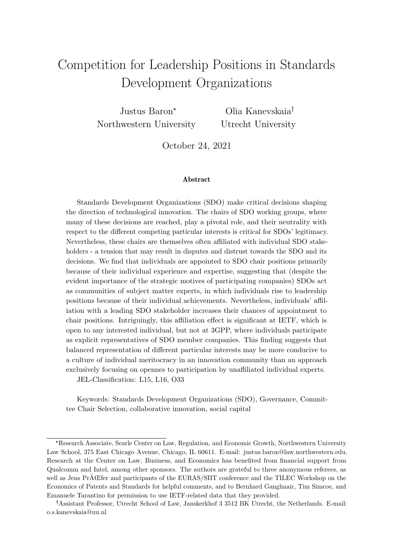# <span id="page-0-0"></span>Competition for Leadership Positions in Standards Development Organizations

Justus Baron\* Northwestern University

Olia Kanevskaia Utrecht University

October 24, 2021

#### Abstract

Standards Development Organizations (SDO) make critical decisions shaping the direction of technological innovation. The chairs of SDO working groups, where many of these decisions are reached, play a pivotal role, and their neutrality with respect to the different competing particular interests is critical for SDOs' legitimacy. Nevertheless, these chairs are themselves often affiliated with individual SDO stakeholders - a tension that may result in disputes and distrust towards the SDO and its decisions. We find that individuals are appointed to SDO chair positions primarily because of their individual experience and expertise, suggesting that (despite the evident importance of the strategic motives of participating companies) SDOs act as communities of subject matter experts, in which individuals rise to leadership positions because of their individual achievements. Nevertheless, individuals' affiliation with a leading SDO stakeholder increases their chances of appointment to chair positions. Intriguingly, this affiliation effect is significant at IETF, which is open to any interested individual, but not at 3GPP, where individuals participate as explicit representatives of SDO member companies. This finding suggests that balanced representation of different particular interests may be more conducive to a culture of individual meritocracy in an innovation community than an approach exclusively focusing on opennes to participation by unaffiliated individual experts.

JEL-Classification: L15, L16, O33

Keywords: Standards Development Organizations (SDO), Governance, Committee Chair Selection, collaborative innovation, social capital

<sup>\*</sup>Research Associate, Searle Center on Law, Regulation, and Economic Growth, Northwestern University Law School, 375 East Chicago Avenue, Chicago, IL 60611. E-mail: justus.baron@law.northwestern.edu. Research at the Center on Law, Business, and Economics has benefited from financial support from Qualcomm and Intel, among other sponsors. The authors are grateful to three anonymous referees, as well as Jens PrAŒfer and participants of the EURAS/SIIT conference and the TILEC Workshop on the Economics of Patents and Standards for helpful comments, and to Bernhard Ganglmair, Tim Simcoe, and Emanuele Tarantino for permission to use IETF-related data that they provided.

<sup>&</sup>lt;sup>†</sup> Assistant Professor, Utrecht School of Law, Janskerkhof 3 3512 BK Utrecht, the Netherlands. E-mail: o.s.kanevskaia@uu.nl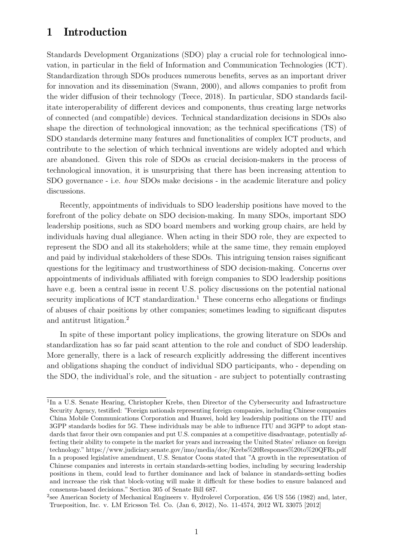# 1 Introduction

Standards Development Organizations (SDO) play a crucial role for technological innovation, in particular in the field of Information and Communication Technologies (ICT). Standardization through SDOs produces numerous benefits, serves as an important driver for innovation and its dissemination [\(Swann,](#page-39-0) [2000\)](#page-39-0), and allows companies to profit from the wider diffusion of their technology [\(Teece,](#page-39-1) [2018\)](#page-39-1). In particular, SDO standards facilitate interoperability of different devices and components, thus creating large networks of connected (and compatible) devices. Technical standardization decisions in SDOs also shape the direction of technological innovation; as the technical specifications (TS) of SDO standards determine many features and functionalities of complex ICT products, and contribute to the selection of which technical inventions are widely adopted and which are abandoned. Given this role of SDOs as crucial decision-makers in the process of technological innovation, it is unsurprising that there has been increasing attention to SDO governance - i.e. how SDOs make decisions - in the academic literature and policy discussions.

Recently, appointments of individuals to SDO leadership positions have moved to the forefront of the policy debate on SDO decision-making. In many SDOs, important SDO leadership positions, such as SDO board members and working group chairs, are held by individuals having dual allegiance. When acting in their SDO role, they are expected to represent the SDO and all its stakeholders; while at the same time, they remain employed and paid by individual stakeholders of these SDOs. This intriguing tension raises significant questions for the legitimacy and trustworthiness of SDO decision-making. Concerns over appointments of individuals affiliated with foreign companies to SDO leadership positions have e.g. been a central issue in recent U.S. policy discussions on the potential national security implications of ICT standardization.<sup>[1](#page-0-0)</sup> These concerns echo allegations or findings of abuses of chair positions by other companies; sometimes leading to significant disputes and antitrust litigation.[2](#page-0-0)

In spite of these important policy implications, the growing literature on SDOs and standardization has so far paid scant attention to the role and conduct of SDO leadership. More generally, there is a lack of research explicitly addressing the different incentives and obligations shaping the conduct of individual SDO participants, who - depending on the SDO, the individual's role, and the situation - are subject to potentially contrasting

<sup>&</sup>lt;sup>1</sup>In a U.S. Senate Hearing, Christopher Krebs, then Director of the Cybersecurity and Infrastructure Security Agency, testified: "Foreign nationals representing foreign companies, including Chinese companies China Mobile Communications Corporation and Huawei, hold key leadership positions on the ITU and 3GPP standards bodies for 5G. These individuals may be able to influence ITU and 3GPP to adopt standards that favor their own companies and put U.S. companies at a competitive disadvantage, potentially affecting their ability to compete in the market for years and increasing the United States' reliance on foreign technology." https://www.judiciary.senate.gov/imo/media/doc/Krebs%20Responses%20to%20QFRs.pdf In a proposed legislative amendment, U.S. Senator Coons stated that "A growth in the representation of Chinese companies and interests in certain standards-setting bodies, including by securing leadership positions in them, could lead to further dominance and lack of balance in standards-setting bodies and increase the risk that block-voting will make it difficult for these bodies to ensure balanced and consensus-based decisions." Section 305 of Senate Bill 687.

<sup>&</sup>lt;sup>2</sup>see American Society of Mechanical Engineers v. Hydrolevel Corporation, 456 US 556 (1982) and, later, Trueposition, Inc. v. LM Ericsson Tel. Co. (Jan 6, 2012), No. 11-4574, 2012 WL 33075 [2012]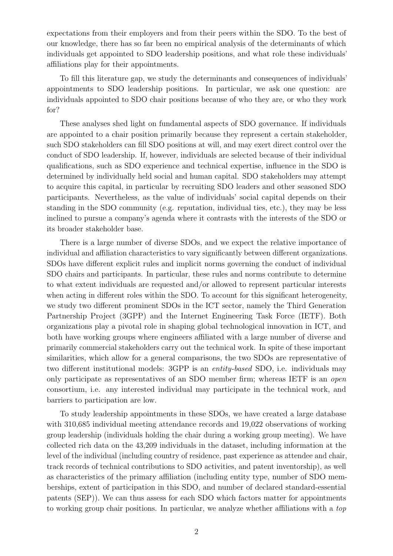expectations from their employers and from their peers within the SDO. To the best of our knowledge, there has so far been no empirical analysis of the determinants of which individuals get appointed to SDO leadership positions, and what role these individuals' affiliations play for their appointments.

To fill this literature gap, we study the determinants and consequences of individuals' appointments to SDO leadership positions. In particular, we ask one question: are individuals appointed to SDO chair positions because of who they are, or who they work for?

These analyses shed light on fundamental aspects of SDO governance. If individuals are appointed to a chair position primarily because they represent a certain stakeholder, such SDO stakeholders can fill SDO positions at will, and may exert direct control over the conduct of SDO leadership. If, however, individuals are selected because of their individual qualifications, such as SDO experience and technical expertise, influence in the SDO is determined by individually held social and human capital. SDO stakeholders may attempt to acquire this capital, in particular by recruiting SDO leaders and other seasoned SDO participants. Nevertheless, as the value of individuals' social capital depends on their standing in the SDO community (e.g. reputation, individual ties, etc.), they may be less inclined to pursue a company's agenda where it contrasts with the interests of the SDO or its broader stakeholder base.

There is a large number of diverse SDOs, and we expect the relative importance of individual and affiliation characteristics to vary significantly between different organizations. SDOs have different explicit rules and implicit norms governing the conduct of individual SDO chairs and participants. In particular, these rules and norms contribute to determine to what extent individuals are requested and/or allowed to represent particular interests when acting in different roles within the SDO. To account for this significant heterogeneity, we study two different prominent SDOs in the ICT sector, namely the Third Generation Partnership Project (3GPP) and the Internet Engineering Task Force (IETF). Both organizations play a pivotal role in shaping global technological innovation in ICT, and both have working groups where engineers affiliated with a large number of diverse and primarily commercial stakeholders carry out the technical work. In spite of these important similarities, which allow for a general comparisons, the two SDOs are representative of two different institutional models: 3GPP is an entity-based SDO, i.e. individuals may only participate as representatives of an SDO member firm; whereas IETF is an open consortium, i.e. any interested individual may participate in the technical work, and barriers to participation are low.

To study leadership appointments in these SDOs, we have created a large database with 310,685 individual meeting attendance records and 19,022 observations of working group leadership (individuals holding the chair during a working group meeting). We have collected rich data on the 43,209 individuals in the dataset, including information at the level of the individual (including country of residence, past experience as attendee and chair, track records of technical contributions to SDO activities, and patent inventorship), as well as characteristics of the primary affiliation (including entity type, number of SDO memberships, extent of participation in this SDO, and number of declared standard-essential patents (SEP)). We can thus assess for each SDO which factors matter for appointments to working group chair positions. In particular, we analyze whether affiliations with a top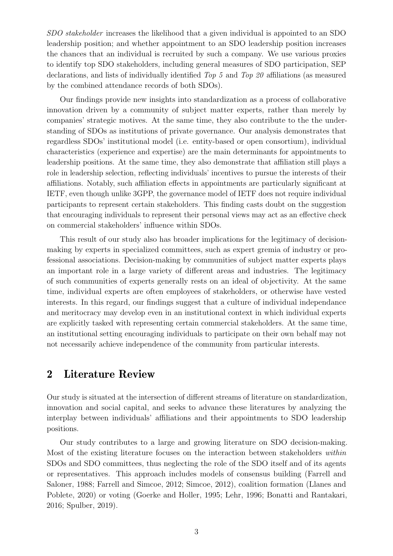SDO stakeholder increases the likelihood that a given individual is appointed to an SDO leadership position; and whether appointment to an SDO leadership position increases the chances that an individual is recruited by such a company. We use various proxies to identify top SDO stakeholders, including general measures of SDO participation, SEP declarations, and lists of individually identified Top 5 and Top 20 affiliations (as measured by the combined attendance records of both SDOs).

Our findings provide new insights into standardization as a process of collaborative innovation driven by a community of subject matter experts, rather than merely by companies' strategic motives. At the same time, they also contribute to the the understanding of SDOs as institutions of private governance. Our analysis demonstrates that regardless SDOs' institutional model (i.e. entity-based or open consortium), individual characteristics (experience and expertise) are the main determinants for appointments to leadership positions. At the same time, they also demonstrate that affiliation still plays a role in leadership selection, reflecting individuals' incentives to pursue the interests of their affiliations. Notably, such affiliation effects in appointments are particularly significant at IETF, even though unlike 3GPP, the governance model of IETF does not require individual participants to represent certain stakeholders. This finding casts doubt on the suggestion that encouraging individuals to represent their personal views may act as an effective check on commercial stakeholders' influence within SDOs.

This result of our study also has broader implications for the legitimacy of decisionmaking by experts in specialized committees, such as expert gremia of industry or professional associations. Decision-making by communities of subject matter experts plays an important role in a large variety of different areas and industries. The legitimacy of such communities of experts generally rests on an ideal of objectivity. At the same time, individual experts are often employees of stakeholders, or otherwise have vested interests. In this regard, our findings suggest that a culture of individual independance and meritocracy may develop even in an institutional context in which individual experts are explicitly tasked with representing certain commercial stakeholders. At the same time, an institutional setting encouraging individuals to participate on their own behalf may not not necessarily achieve independence of the community from particular interests.

# 2 Literature Review

Our study is situated at the intersection of different streams of literature on standardization, innovation and social capital, and seeks to advance these literatures by analyzing the interplay between individuals' affiliations and their appointments to SDO leadership positions.

Our study contributes to a large and growing literature on SDO decision-making. Most of the existing literature focuses on the interaction between stakeholders within SDOs and SDO committees, thus neglecting the role of the SDO itself and of its agents or representatives. This approach includes models of consensus building [\(Farrell and](#page-36-0) [Saloner,](#page-36-0) [1988;](#page-36-0) [Farrell and Simcoe,](#page-36-1) [2012;](#page-36-1) [Simcoe,](#page-38-0) [2012\)](#page-38-0), coalition formation [\(Llanes and](#page-38-1) [Poblete,](#page-38-1) [2020\)](#page-38-1) or voting [\(Goerke and Holler,](#page-37-0) [1995;](#page-37-0) [Lehr,](#page-38-2) [1996;](#page-38-2) [Bonatti and Rantakari,](#page-36-2) [2016;](#page-36-2) [Spulber,](#page-39-2) [2019\)](#page-39-2).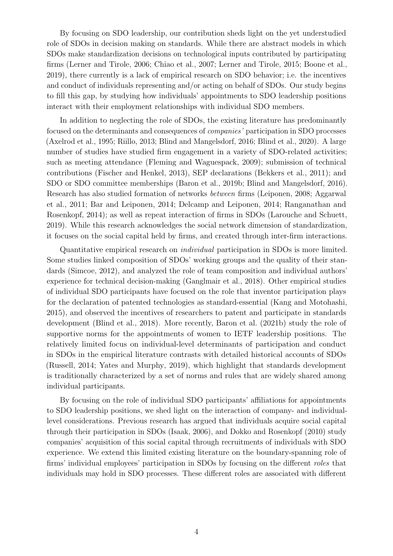By focusing on SDO leadership, our contribution sheds light on the yet understudied role of SDOs in decision making on standards. While there are abstract models in which SDOs make standardization decisions on technological inputs contributed by participating firms [\(Lerner and Tirole,](#page-38-3) [2006;](#page-38-3) [Chiao et al.,](#page-36-3) [2007;](#page-36-3) [Lerner and Tirole,](#page-38-4) [2015;](#page-38-4) [Boone et al.,](#page-36-4) [2019\)](#page-36-4), there currently is a lack of empirical research on SDO behavior; i.e. the incentives and conduct of individuals representing and/or acting on behalf of SDOs. Our study begins to fill this gap, by studying how individuals' appointments to SDO leadership positions interact with their employment relationships with individual SDO members.

In addition to neglecting the role of SDOs, the existing literature has predominantly focused on the determinants and consequences of companies' participation in SDO processes [\(Axelrod et al.,](#page-35-0) [1995;](#page-35-0) [Riillo,](#page-38-5) [2013;](#page-38-5) [Blind and Mangelsdorf,](#page-36-5) [2016;](#page-36-5) [Blind et al.,](#page-36-6) [2020\)](#page-36-6). A large number of studies have studied firm engagement in a variety of SDO-related activities; such as meeting attendance [\(Fleming and Waguespack,](#page-37-1) [2009\)](#page-37-1); submission of technical contributions [\(Fischer and Henkel,](#page-37-2) [2013\)](#page-37-2), SEP declarations [\(Bekkers et al.,](#page-35-1) [2011\)](#page-35-1); and SDO or SDO committee memberships [\(Baron et al.,](#page-35-2) [2019b;](#page-35-2) [Blind and Mangelsdorf,](#page-36-5) [2016\)](#page-36-5). Research has also studied formation of networks between firms [\(Leiponen,](#page-38-6) [2008;](#page-38-6) [Aggarwal](#page-35-3) [et al.,](#page-35-3) [2011;](#page-35-3) [Bar and Leiponen,](#page-35-4) [2014;](#page-35-4) [Delcamp and Leiponen,](#page-36-7) [2014;](#page-36-7) [Ranganathan and](#page-38-7) [Rosenkopf,](#page-38-7) [2014\)](#page-38-7); as well as repeat interaction of firms in SDOs [\(Larouche and Schuett,](#page-37-3) [2019\)](#page-37-3). While this research acknowledges the social network dimension of standardization, it focuses on the social capital held by firms, and created through inter-firm interactions.

Quantitative empirical research on individual participation in SDOs is more limited. Some studies linked composition of SDOs' working groups and the quality of their standards [\(Simcoe,](#page-38-0) [2012\)](#page-38-0), and analyzed the role of team composition and individual authors' experience for technical decision-making [\(Ganglmair et al.,](#page-37-4) [2018\)](#page-37-4). Other empirical studies of individual SDO participants have focused on the role that inventor participation plays for the declaration of patented technologies as standard-essential [\(Kang and Motohashi,](#page-37-5) [2015\)](#page-37-5), and observed the incentives of researchers to patent and participate in standards development [\(Blind et al.,](#page-36-8) [2018\)](#page-36-8). More recently, [Baron et al.](#page-35-5) [\(2021b\)](#page-35-5) study the role of supportive norms for the appointments of women to IETF leadership positions. The relatively limited focus on individual-level determinants of participation and conduct in SDOs in the empirical literature contrasts with detailed historical accounts of SDOs [\(Russell,](#page-38-8) [2014;](#page-38-8) [Yates and Murphy,](#page-39-3) [2019\)](#page-39-3), which highlight that standards development is traditionally characterized by a set of norms and rules that are widely shared among individual participants.

By focusing on the role of individual SDO participants' affiliations for appointments to SDO leadership positions, we shed light on the interaction of company- and individuallevel considerations. Previous research has argued that individuals acquire social capital through their participation in SDOs [\(Isaak,](#page-37-6) [2006\)](#page-37-6), and [Dokko and Rosenkopf](#page-36-9) [\(2010\)](#page-36-9) study companies' acquisition of this social capital through recruitments of individuals with SDO experience. We extend this limited existing literature on the boundary-spanning role of firms' individual employees' participation in SDOs by focusing on the different roles that individuals may hold in SDO processes. These different roles are associated with different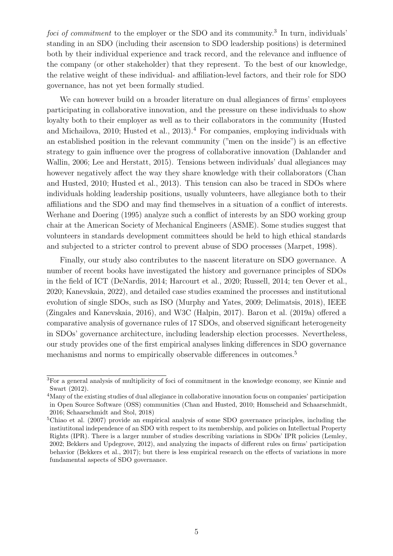foci of commitment to the employer or the SDO and its community.<sup>[3](#page-0-0)</sup> In turn, individuals' standing in an SDO (including their ascension to SDO leadership positions) is determined both by their individual experience and track record, and the relevance and influence of the company (or other stakeholder) that they represent. To the best of our knowledge, the relative weight of these individual- and affiliation-level factors, and their role for SDO governance, has not yet been formally studied.

We can however build on a broader literature on dual allegiances of firms' employees participating in collaborative innovation, and the pressure on these individuals to show loyalty both to their employer as well as to their collaborators in the community [\(Husted](#page-37-7) [and Michailova,](#page-37-7) [2010;](#page-37-7) [Husted et al.,](#page-37-8) [2013\)](#page-37-8).<sup>[4](#page-0-0)</sup> For companies, employing individuals with an established position in the relevant community ("men on the inside") is an effective strategy to gain influence over the progress of collaborative innovation [\(Dahlander and](#page-36-10) [Wallin,](#page-36-10) [2006;](#page-36-10) [Lee and Herstatt,](#page-37-9) [2015\)](#page-37-9). Tensions between individuals' dual allegiances may however negatively affect the way they share knowledge with their collaborators [\(Chan](#page-36-11) [and Husted,](#page-36-11) [2010;](#page-36-11) [Husted et al.,](#page-37-8) [2013\)](#page-37-8). This tension can also be traced in SDOs where individuals holding leadership positions, usually volunteers, have allegiance both to their affiliations and the SDO and may find themselves in a situation of a conflict of interests. [Werhane and Doering](#page-39-4) [\(1995\)](#page-39-4) analyze such a conflict of interests by an SDO working group chair at the American Society of Mechanical Engineers (ASME). Some studies suggest that volunteers in standards development committees should be held to high ethical standards and subjected to a stricter control to prevent abuse of SDO processes [\(Marpet,](#page-38-9) [1998\)](#page-38-9).

Finally, our study also contributes to the nascent literature on SDO governance. A number of recent books have investigated the history and governance principles of SDOs in the field of ICT [\(DeNardis,](#page-36-12) [2014;](#page-36-12) [Harcourt et al.,](#page-37-10) [2020;](#page-37-10) [Russell,](#page-38-8) [2014;](#page-38-8) [ten Oever et al.,](#page-39-5) [2020;](#page-39-5) [Kanevskaia,](#page-37-11) [2022\)](#page-37-11), and detailed case studies examined the processes and institutional evolution of single SDOs, such as ISO [\(Murphy and Yates,](#page-38-10) [2009;](#page-38-10) [Delimatsis,](#page-36-13) [2018\)](#page-36-13), IEEE [\(Zingales and Kanevskaia,](#page-39-6) [2016\)](#page-39-6), and W3C [\(Halpin,](#page-37-12) [2017\)](#page-37-12). [Baron et al.](#page-35-6) [\(2019a\)](#page-35-6) offered a comparative analysis of governance rules of 17 SDOs, and observed significant heterogeneity in SDOs' governance architecture, including leadership election processes. Nevertheless, our study provides one of the first empirical analyses linking differences in SDO governance mechanisms and norms to empirically observable differences in outcomes.<sup>[5](#page-0-0)</sup>

<sup>3</sup>For a general analysis of multiplicity of foci of commitment in the knowledge economy, see [Kinnie and](#page-37-13) [Swart](#page-37-13) [\(2012\)](#page-37-13).

<sup>4</sup>Many of the existing studies of dual allegiance in collaborative innovation focus on companies' participation in Open Source Software (OSS) communities [\(Chan and Husted,](#page-36-11) [2010;](#page-36-11) [Homscheid and Schaarschmidt,](#page-37-14) [2016;](#page-37-14) [Schaarschmidt and Stol,](#page-38-11) [2018\)](#page-38-11)

<sup>5</sup>[Chiao et al.](#page-36-3) [\(2007\)](#page-36-3) provide an empirical analysis of some SDO governance principles, including the instiutitonal independence of an SDO with respect to its membership, and policies on Intellectual Property Rights (IPR). There is a larger number of studies describing variations in SDOs' IPR policies [\(Lemley,](#page-38-12) [2002;](#page-38-12) [Bekkers and Updegrove,](#page-35-7) [2012\)](#page-35-7), and analyzing the impacts of different rules on firms' participation behavior [\(Bekkers et al.,](#page-36-14) [2017\)](#page-36-14); but there is less empirical research on the effects of variations in more fundamental aspects of SDO governance.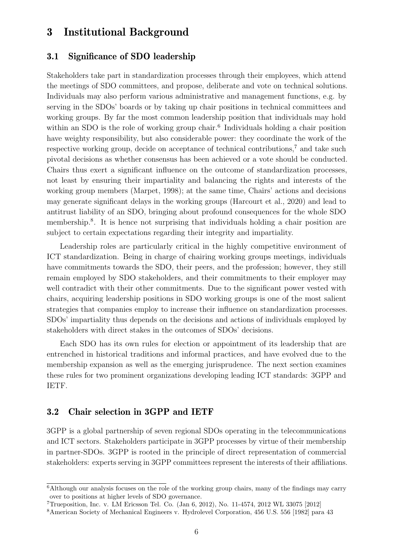# 3 Institutional Background

### 3.1 Significance of SDO leadership

Stakeholders take part in standardization processes through their employees, which attend the meetings of SDO committees, and propose, deliberate and vote on technical solutions. Individuals may also perform various administrative and management functions, e.g. by serving in the SDOs' boards or by taking up chair positions in technical committees and working groups. By far the most common leadership position that individuals may hold within an SDO is the role of working group chair.<sup>[6](#page-0-0)</sup> Individuals holding a chair position have weighty responsibility, but also considerable power: they coordinate the work of the respective working group, decide on acceptance of technical contributions,<sup>[7](#page-0-0)</sup> and take such pivotal decisions as whether consensus has been achieved or a vote should be conducted. Chairs thus exert a significant influence on the outcome of standardization processes, not least by ensuring their impartiality and balancing the rights and interests of the working group members [\(Marpet,](#page-38-9) [1998\)](#page-38-9); at the same time, Chairs' actions and decisions may generate significant delays in the working groups [\(Harcourt et al.,](#page-37-10) [2020\)](#page-37-10) and lead to antitrust liability of an SDO, bringing about profound consequences for the whole SDO membership.<sup>[8](#page-0-0)</sup>. It is hence not surprising that individuals holding a chair position are subject to certain expectations regarding their integrity and impartiality.

Leadership roles are particularly critical in the highly competitive environment of ICT standardization. Being in charge of chairing working groups meetings, individuals have commitments towards the SDO, their peers, and the profession; however, they still remain employed by SDO stakeholders, and their commitments to their employer may well contradict with their other commitments. Due to the significant power vested with chairs, acquiring leadership positions in SDO working groups is one of the most salient strategies that companies employ to increase their influence on standardization processes. SDOs' impartiality thus depends on the decisions and actions of individuals employed by stakeholders with direct stakes in the outcomes of SDOs' decisions.

Each SDO has its own rules for election or appointment of its leadership that are entrenched in historical traditions and informal practices, and have evolved due to the membership expansion as well as the emerging jurisprudence. The next section examines these rules for two prominent organizations developing leading ICT standards: 3GPP and IETF.

#### 3.2 Chair selection in 3GPP and IETF

3GPP is a global partnership of seven regional SDOs operating in the telecommunications and ICT sectors. Stakeholders participate in 3GPP processes by virtue of their membership in partner-SDOs. 3GPP is rooted in the principle of direct representation of commercial stakeholders: experts serving in 3GPP committees represent the interests of their affiliations.

 $6$ Although our analysis focuses on the role of the working group chairs, many of the findings may carry over to positions at higher levels of SDO governance.

<sup>7</sup>Trueposition, Inc. v. LM Ericsson Tel. Co. (Jan 6, 2012), No. 11-4574, 2012 WL 33075 [2012]

<sup>8</sup>American Society of Mechanical Engineers v. Hydrolevel Corporation, 456 U.S. 556 [1982] para 43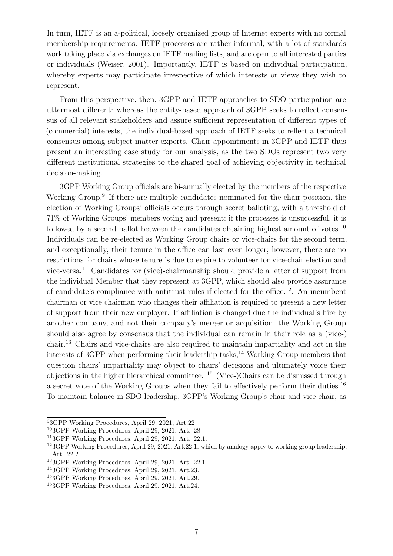In turn, IETF is an a-political, loosely organized group of Internet experts with no formal membership requirements. IETF processes are rather informal, with a lot of standards work taking place via exchanges on IETF mailing lists, and are open to all interested parties or individuals [\(Weiser,](#page-39-7) [2001\)](#page-39-7). Importantly, IETF is based on individual participation, whereby experts may participate irrespective of which interests or views they wish to represent.

From this perspective, then, 3GPP and IETF approaches to SDO participation are uttermost different: whereas the entity-based approach of 3GPP seeks to reflect consensus of all relevant stakeholders and assure sufficient representation of different types of (commercial) interests, the individual-based approach of IETF seeks to reflect a technical consensus among subject matter experts. Chair appointments in 3GPP and IETF thus present an interesting case study for our analysis, as the two SDOs represent two very different institutional strategies to the shared goal of achieving objectivity in technical decision-making.

3GPP Working Group officials are bi-annually elected by the members of the respective Working Group.<sup>[9](#page-0-0)</sup> If there are multiple candidates nominated for the chair position, the election of Working Groups' officials occurs through secret balloting, with a threshold of 71% of Working Groups' members voting and present; if the processes is unsuccessful, it is followed by a second ballot between the candidates obtaining highest amount of votes.<sup>[10](#page-0-0)</sup> Individuals can be re-elected as Working Group chairs or vice-chairs for the second term, and exceptionally, their tenure in the office can last even longer; however, there are no restrictions for chairs whose tenure is due to expire to volunteer for vice-chair election and vice-versa.[11](#page-0-0) Candidates for (vice)-chairmanship should provide a letter of support from the individual Member that they represent at 3GPP, which should also provide assurance of candidate's compliance with antitrust rules if elected for the office.[12](#page-0-0). An incumbent chairman or vice chairman who changes their affiliation is required to present a new letter of support from their new employer. If affiliation is changed due the individual's hire by another company, and not their company's merger or acquisition, the Working Group should also agree by consensus that the individual can remain in their role as a (vice-) chair.[13](#page-0-0) Chairs and vice-chairs are also required to maintain impartiality and act in the interests of  $3GPP$  when performing their leadership tasks;<sup>[14](#page-0-0)</sup> Working Group members that question chairs' impartiality may object to chairs' decisions and ultimately voice their objections in the higher hierarchical committee. [15](#page-0-0) (Vice-)Chairs can be dismissed through a secret vote of the Working Groups when they fail to effectively perform their duties.[16](#page-0-0) To maintain balance in SDO leadership, 3GPP's Working Group's chair and vice-chair, as

<sup>9</sup>3GPP Working Procedures, April 29, 2021, Art.22

<sup>10</sup>3GPP Working Procedures, April 29, 2021, Art. 28

<sup>11</sup>3GPP Working Procedures, April 29, 2021, Art. 22.1.

<sup>12</sup>3GPP Working Procedures, April 29, 2021, Art.22.1, which by analogy apply to working group leadership, Art. 22.2

<sup>13</sup>3GPP Working Procedures, April 29, 2021, Art. 22.1.

<sup>14</sup>3GPP Working Procedures, April 29, 2021, Art.23.

<sup>15</sup>3GPP Working Procedures, April 29, 2021, Art.29.

<sup>16</sup>3GPP Working Procedures, April 29, 2021, Art.24.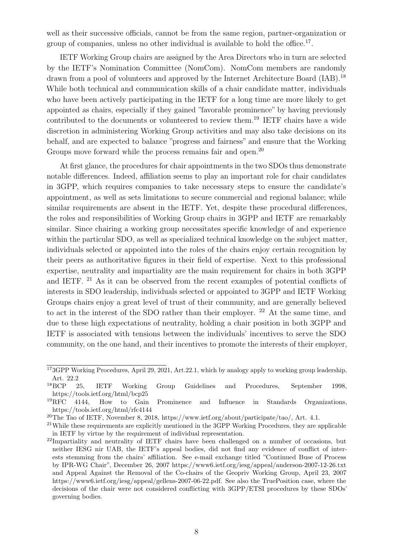well as their successive officials, cannot be from the same region, partner-organization or group of companies, unless no other individual is available to hold the office.<sup>[17](#page-0-0)</sup>.

IETF Working Group chairs are assigned by the Area Directors who in turn are selected by the IETF's Nomination Committee (NomCom). NomCom members are randomly drawn from a pool of volunteers and approved by the Internet Architecture Board (IAB).<sup>[18](#page-0-0)</sup> While both technical and communication skills of a chair candidate matter, individuals who have been actively participating in the IETF for a long time are more likely to get appointed as chairs, especially if they gained "favorable prominence" by having previously contributed to the documents or volunteered to review them.[19](#page-0-0) IETF chairs have a wide discretion in administering Working Group activities and may also take decisions on its behalf, and are expected to balance "progress and fairness" and ensure that the Working Groups move forward while the process remains fair and open.<sup>[20](#page-0-0)</sup>

At first glance, the procedures for chair appointments in the two SDOs thus demonstrate notable differences. Indeed, affiliation seems to play an important role for chair candidates in 3GPP, which requires companies to take necessary steps to ensure the candidate's appointment, as well as sets limitations to secure commercial and regional balance; while similar requirements are absent in the IETF. Yet, despite these procedural differences, the roles and responsibilities of Working Group chairs in 3GPP and IETF are remarkably similar. Since chairing a working group necessitates specific knowledge of and experience within the particular SDO, as well as specialized technical knowledge on the subject matter, individuals selected or appointed into the roles of the chairs enjoy certain recognition by their peers as authoritative figures in their field of expertise. Next to this professional expertise, neutrality and impartiality are the main requirement for chairs in both 3GPP and IETF. [21](#page-0-0) As it can be observed from the recent examples of potential conflicts of interests in SDO leadership, individuals selected or appointed to 3GPP and IETF Working Groups chairs enjoy a great level of trust of their community, and are generally believed to act in the interest of the SDO rather than their employer. <sup>[22](#page-0-0)</sup> At the same time, and due to these high expectations of neutrality, holding a chair position in both 3GPP and IETF is associated with tensions between the individuals' incentives to serve the SDO community, on the one hand, and their incentives to promote the interests of their employer,

<sup>&</sup>lt;sup>17</sup>3GPP Working Procedures, April 29, 2021, Art.22.1, which by analogy apply to working group leadership, Art. 22.2<br> $18BCP$  2

<sup>18</sup>BCP 25, IETF Working Group Guidelines and Procedures, September 1998, https://tools.ietf.org/html/bcp25<br><sup>19</sup>RFC 4144. How to Gain

<sup>19</sup>RFC 4144, How to Gain Prominence and Influence in Standards Organizations, https://tools.ietf.org/html/rfc4144

<sup>20</sup>The Tao of IETF, November 8, 2018, https://www.ietf.org/about/participate/tao/, Art. 4.1.

<sup>&</sup>lt;sup>21</sup>While these requirements are explicitly mentioned in the 3GPP Working Procedures, they are applicable in IETF by virtue by the requirement of individual representation.

 $^{22}$ Impartiality and neutrality of IETF chairs have been challenged on a number of occasions, but neither IESG nir UAB, the IETF's appeal bodies, did not find any evidence of conflict of interests stemming from the chairs' affiliation. See e-mail exchange titled "Continued Buse of Process by IPR-WG Chair", December 26, 2007 https://www6.ietf.org/iesg/appeal/anderson-2007-12-26.txt and Appeal Against the Removal of the Co-chairs of the Geopriv Working Group, April 23, 2007 https://www6.ietf.org/iesg/appeal/gellens-2007-06-22.pdf. See also the TruePosition case, where the decisions of the chair were not considered conflicting with 3GPP/ETSI procedures by these SDOs' governing bodies.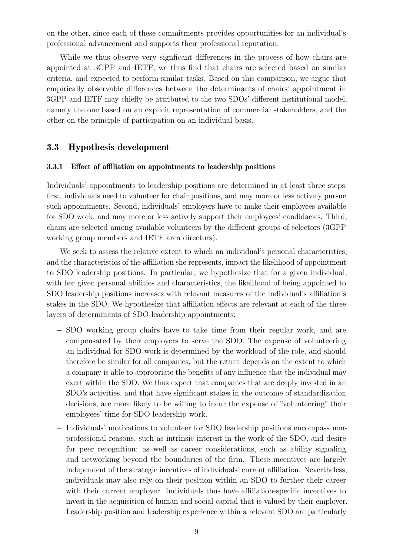on the other, since each of these commitments provides opportunities for an individual's professional advancement and supports their professional reputation.

While we thus observe very signficant differences in the process of how chairs are appointed at 3GPP and IETF, we thus find that chairs are selected based on similar criteria, and expected to perform similar tasks. Based on this comparison, we argue that empirically observable differences between the determinants of chairs' appointment in 3GPP and IETF may chiefly be attributed to the two SDOs' different institutional model, namely the one based on an explicit representation of commercial stakeholders, and the other on the principle of participation on an individual basis.

### 3.3 Hypothesis development

#### 3.3.1 Effect of affiliation on appointments to leadership positions

Individuals' appointments to leadership positions are determined in at least three steps: first, individuals need to volunteer for chair positions, and may more or less actively pursue such appointments. Second, individuals' employers have to make their employees available for SDO work, and may more or less actively support their employees' candidacies. Third, chairs are selected among available volunteers by the different groups of selectors (3GPP working group members and IETF area directors).

We seek to assess the relative extent to which an individual's personal characteristics, and the characteristics of the affiliation she represents, impact the likelihood of appointment to SDO leadership positions. In particular, we hypothesize that for a given individual, with her given personal abilities and characteristics, the likelihood of being appointed to SDO leadership positions increases with relevant measures of the individual's affiliation's stakes in the SDO. We hypothesize that affiliation effects are relevant at each of the three layers of determinants of SDO leadership appointments:

- − SDO working group chairs have to take time from their regular work, and are compensated by their employers to serve the SDO. The expense of volunteering an individual for SDO work is determined by the workload of the role, and should therefore be similar for all companies, but the return depends on the extent to which a company is able to appropriate the benefits of any influence that the individual may exert within the SDO. We thus expect that companies that are deeply invested in an SDO's activities, and that have significant stakes in the outcome of standardization decisions, are more likely to be willing to incur the expense of "volunteering" their employees' time for SDO leadership work.
- − Individuals' motivations to volunteer for SDO leadership positions encompass nonprofessional reasons, such as intrinsic interest in the work of the SDO, and desire for peer recognition; as well as career considerations, such as ability signaling and networking beyond the boundaries of the firm. These incentives are largely independent of the strategic incentives of individuals' current affiliation. Nevertheless, individuals may also rely on their position within an SDO to further their career with their current employer. Individuals thus have affiliation-specific incentives to invest in the acquisition of human and social capital that is valued by their employer. Leadership position and leadership experience within a relevant SDO are particularly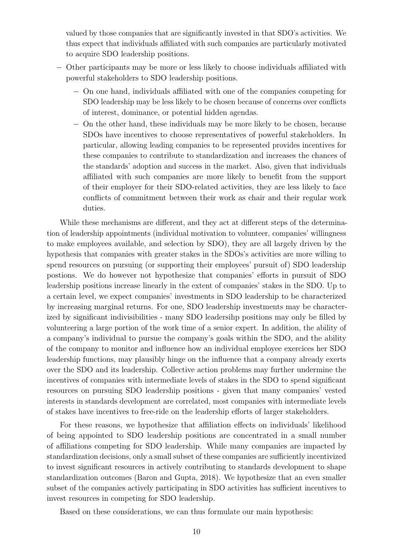valued by those companies that are significantly invested in that SDO's activities. We thus expect that individuals affiliated with such companies are particularly motivated to acquire SDO leadership positions.

- − Other participants may be more or less likely to choose individuals affiliated with powerful stakeholders to SDO leadership positions.
	- − On one hand, individuals affiliated with one of the companies competing for SDO leadership may be less likely to be chosen because of concerns over conflicts of interest, dominance, or potential hidden agendas.
	- − On the other hand, these individuals may be more likely to be chosen, because SDOs have incentives to choose representatives of powerful stakeholders. In particular, allowing leading companies to be represented provides incentives for these companies to contribute to standardization and increases the chances of the standards' adoption and success in the market. Also, given that individuals affiliated with such companies are more likely to benefit from the support of their employer for their SDO-related activities, they are less likely to face conflicts of commitment between their work as chair and their regular work duties.

While these mechanisms are different, and they act at different steps of the determination of leadership appointments (individual motivation to volunteer, companies' willingness to make employees available, and selection by SDO), they are all largely driven by the hypothesis that companies with greater stakes in the SDOs's activities are more willing to spend resources on pursuing (or supporting their employees' pursuit of) SDO leadership postions. We do however not hypothesize that companies' efforts in pursuit of SDO leadership positions increase linearly in the extent of companies' stakes in the SDO. Up to a certain level, we expect companies' investments in SDO leadership to be characterized by increasing marginal returns. For one, SDO leadership investments may be characterized by significant indivisibilities - many SDO leadersihp positions may only be filled by volunteering a large portion of the work time of a senior expert. In addition, the ability of a company's individual to pursue the company's goals within the SDO, and the ability of the company to monitor and influence how an individual employee exercices her SDO leadership functions, may plausibly hinge on the influence that a company already exerts over the SDO and its leadership. Collective action problems may further undermine the incentives of companies with intermediate levels of stakes in the SDO to spend significant resources on pursuing SDO leadership positions - given that many companies' vested interests in standards development are correlated, most companies with intermediate levels of stakes have incentives to free-ride on the leadership efforts of larger stakeholders.

For these reasons, we hypothesize that affiliation effects on individuals' likelihood of being appointed to SDO leadership positions are concentrated in a small number of affiliations competing for SDO leadership. While many companies are impacted by standardization decisions, only a small subset of these companies are sufficiently incentivized to invest significant resources in actively contributing to standards development to shape standardization outcomes [\(Baron and Gupta,](#page-35-8) [2018\)](#page-35-8). We hypothesize that an even smaller subset of the companies actively participating in SDO activities has sufficient incentives to invest resources in competing for SDO leadership.

<span id="page-10-0"></span>Based on these considerations, we can thus formulate our main hypothesis: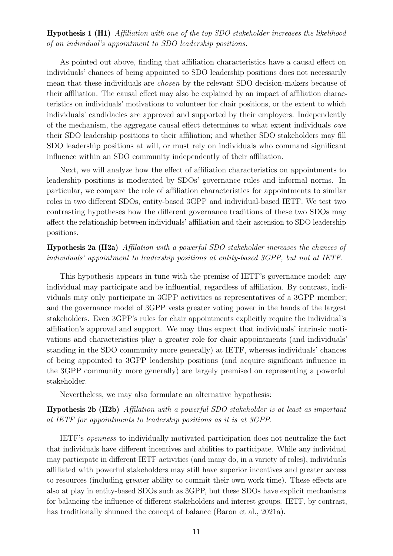Hypothesis 1 ([H1\)](#page-10-0) Affiliation with one of the top SDO stakeholder increases the likelihood of an individual's appointment to SDO leadership positions.

As pointed out above, finding that affiliation characteristics have a causal effect on individuals' chances of being appointed to SDO leadership positions does not necessarily mean that these individuals are chosen by the relevant SDO decision-makers because of their affiliation. The causal effect may also be explained by an impact of affiliation characteristics on individuals' motivations to volunteer for chair positions, or the extent to which individuals' candidacies are approved and supported by their employers. Independently of the mechanism, the aggregate causal effect determines to what extent individuals owe their SDO leadership positions to their affiliation; and whether SDO stakeholders may fill SDO leadership positions at will, or must rely on individuals who command significant influence within an SDO community independently of their affiliation.

Next, we will analyze how the effect of affiliation characteristics on appointments to leadership positions is moderated by SDOs' governance rules and informal norms. In particular, we compare the role of affiliation characteristics for appointments to similar roles in two different SDOs, entity-based 3GPP and individual-based IETF. We test two contrasting hypotheses how the different governance traditions of these two SDOs may affect the relationship between individuals' affiliation and their ascension to SDO leadership positions.

Hypothesis 2a ([H2a\)](#page-10-0) Affilation with a powerful SDO stakeholder increases the chances of individuals' appointment to leadership positions at entity-based 3GPP, but not at IETF.

This hypothesis appears in tune with the premise of IETF's governance model: any individual may participate and be influential, regardless of affiliation. By contrast, individuals may only participate in 3GPP activities as representatives of a 3GPP member; and the governance model of 3GPP vests greater voting power in the hands of the largest stakeholders. Even 3GPP's rules for chair appointments explicitly require the individual's affiliation's approval and support. We may thus expect that individuals' intrinsic motivations and characteristics play a greater role for chair appointments (and individuals' standing in the SDO community more generally) at IETF, whereas individuals' chances of being appointed to 3GPP leadership positions (and acquire significant influence in the 3GPP community more generally) are largely premised on representing a powerful stakeholder.

Nevertheless, we may also formulate an alternative hypothesis:

<span id="page-11-0"></span>Hypothesis 2b ([H2b\)](#page-11-0) Affilation with a powerful SDO stakeholder is at least as important at IETF for appointments to leadership positions as it is at 3GPP.

IETF's openness to individually motivated participation does not neutralize the fact that individuals have different incentives and abilities to participate. While any individual may participate in different IETF activities (and many do, in a variety of roles), individuals affiliated with powerful stakeholders may still have superior incentives and greater access to resources (including greater ability to commit their own work time). These effects are also at play in entity-based SDOs such as 3GPP, but these SDOs have explicit mechanisms for balancing the influence of different stakeholders and interest groups. IETF, by contrast, has traditionally shunned the concept of balance [\(Baron et al.,](#page-35-9) [2021a\)](#page-35-9).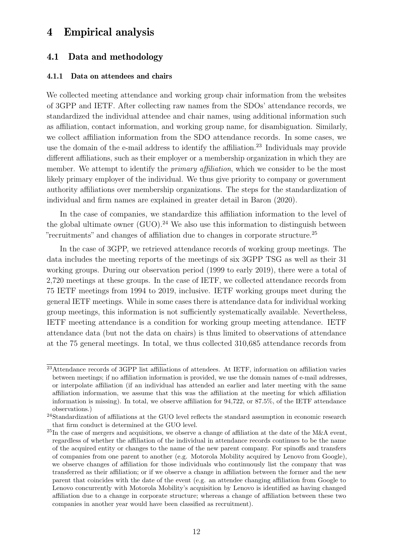### 4 Empirical analysis

### 4.1 Data and methodology

#### 4.1.1 Data on attendees and chairs

We collected meeting attendance and working group chair information from the websites of 3GPP and IETF. After collecting raw names from the SDOs' attendance records, we standardized the individual attendee and chair names, using additional information such as affiliation, contact information, and working group name, for disambiguation. Similarly, we collect affiliation information from the SDO attendance records. In some cases, we use the domain of the e-mail address to identify the affiliation.<sup>[23](#page-0-0)</sup> Individuals may provide different affiliations, such as their employer or a membership organization in which they are member. We attempt to identify the *primary affiliation*, which we consider to be the most likely primary employer of the individual. We thus give priority to company or government authority affiliations over membership organizations. The steps for the standardization of individual and firm names are explained in greater detail in [Baron](#page-35-10) [\(2020\)](#page-35-10).

In the case of companies, we standardize this affiliation information to the level of the global ultimate owner  $(GUO)$ .<sup>[24](#page-0-0)</sup> We also use this information to distinguish between "recruitments" and changes of affiliation due to changes in corporate structure.[25](#page-0-0)

In the case of 3GPP, we retrieved attendance records of working group meetings. The data includes the meeting reports of the meetings of six 3GPP TSG as well as their 31 working groups. During our observation period (1999 to early 2019), there were a total of 2,720 meetings at these groups. In the case of IETF, we collected attendance records from 75 IETF meetings from 1994 to 2019, inclusive. IETF working groups meet during the general IETF meetings. While in some cases there is attendance data for individual working group meetings, this information is not sufficiently systematically available. Nevertheless, IETF meeting attendance is a condition for working group meeting attendance. IETF attendance data (but not the data on chairs) is thus limited to observations of attendance at the 75 general meetings. In total, we thus collected 310,685 attendance records from

<sup>23</sup>Attendance records of 3GPP list affiliations of attendees. At IETF, information on affiliation varies between meetings; if no affiliation information is provided, we use the domain names of e-mail addresses, or interpolate affiliation (if an individual has attended an earlier and later meeting with the same affiliation information, we assume that this was the affiliation at the meeting for which affiliation information is missing). In total, we observe affiliation for 94,722, or 87.5%, of the IETF attendance observations.)

<sup>&</sup>lt;sup>24</sup>Standardization of affiliations at the GUO level reflects the standard assumption in economic research that firm conduct is determined at the GUO level.

 $^{25}$ In the case of mergers and acquisitions, we observe a change of affiliation at the date of the M&A event, regardless of whether the affiliation of the individual in attendance records continues to be the name of the acquired entity or changes to the name of the new parent company. For spinoffs and transfers of companies from one parent to another (e.g. Motorola Mobility acquired by Lenovo from Google), we observe changes of affiliation for those individuals who continuously list the company that was transferred as their affiliation; or if we observe a change in affiliation between the former and the new parent that coincides with the date of the event (e.g. an attendee changing affiliation from Google to Lenovo concurrently with Motorola Mobility's acquisition by Lenovo is identified as having changed affiliation due to a change in corporate structure; whereas a change of affiliation between these two companies in another year would have been classified as recruitment).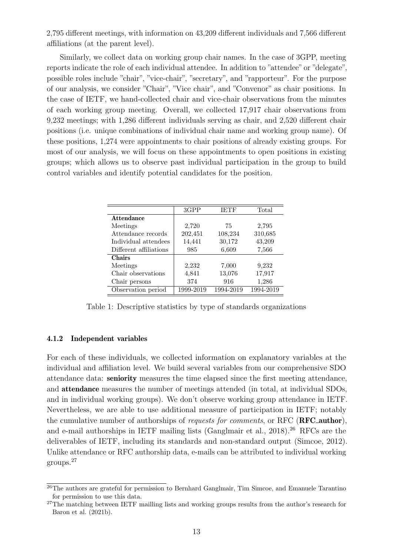2,795 different meetings, with information on 43,209 different individuals and 7,566 different affiliations (at the parent level).

Similarly, we collect data on working group chair names. In the case of 3GPP, meeting reports indicate the role of each individual attendee. In addition to "attendee" or "delegate", possible roles include "chair", "vice-chair", "secretary", and "rapporteur". For the purpose of our analysis, we consider "Chair", "Vice chair", and "Convenor" as chair positions. In the case of IETF, we hand-collected chair and vice-chair observations from the minutes of each working group meeting. Overall, we collected 17,917 chair observations from 9,232 meetings; with 1,286 different individuals serving as chair, and 2,520 different chair positions (i.e. unique combinations of individual chair name and working group name). Of these positions, 1,274 were appointments to chair positions of already existing groups. For most of our analysis, we will focus on these appointments to open positions in existing groups; which allows us to observe past individual participation in the group to build control variables and identify potential candidates for the position.

|                        | 3GPP      | <b>IETF</b> | Total     |
|------------------------|-----------|-------------|-----------|
| <b>Attendance</b>      |           |             |           |
| Meetings               | 2,720     | 75          | 2,795     |
| Attendance records     | 202,451   | 108,234     | 310,685   |
| Individual attendees   | 14,441    | 30,172      | 43,209    |
| Different affiliations | 985       | 6,609       | 7,566     |
| <b>Chairs</b>          |           |             |           |
| Meetings               | 2,232     | 7,000       | 9,232     |
| Chair observations     | 4,841     | 13,076      | 17,917    |
| Chair persons          | 374       | 916         | 1,286     |
| Observation period     | 1999-2019 | 1994-2019   | 1994-2019 |

Table 1: Descriptive statistics by type of standards organizations

#### 4.1.2 Independent variables

For each of these individuals, we collected information on explanatory variables at the individual and affiliation level. We build several variables from our comprehensive SDO attendance data: seniority measures the time elapsed since the first meeting attendance, and attendance measures the number of meetings attended (in total, at individual SDOs, and in individual working groups). We don't observe working group attendance in IETF. Nevertheless, we are able to use additional measure of participation in IETF; notably the cumulative number of authorships of *requests for comments*, or RFC (**RFC\_author**), and e-mail authorships in IETF mailing lists [\(Ganglmair et al.,](#page-37-4)  $2018$ ).<sup>[26](#page-0-0)</sup> RFCs are the deliverables of IETF, including its standards and non-standard output [\(Simcoe,](#page-38-0) [2012\)](#page-38-0). Unlike attendance or RFC authorship data, e-mails can be attributed to individual working groups.[27](#page-0-0)

<sup>&</sup>lt;sup>26</sup>The authors are grateful for permission to Bernhard Ganglmair, Tim Simcoe, and Emanuele Tarantino for permission to use this data.

<sup>&</sup>lt;sup>27</sup>The matching between IETF mailling lists and working groups results from the author's research for [Baron et al.](#page-35-5) [\(2021b\)](#page-35-5).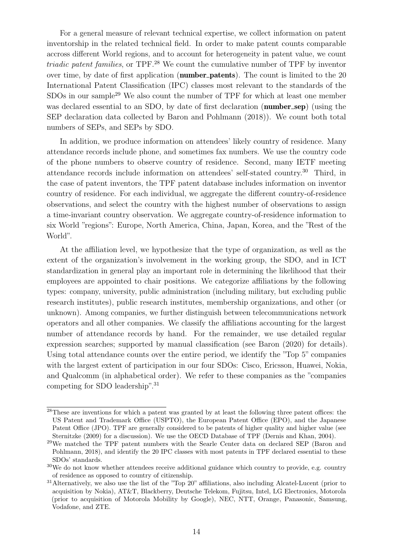For a general measure of relevant technical expertise, we collect information on patent inventorship in the related technical field. In order to make patent counts comparable accross different World regions, and to account for heterogeneity in patent value, we count triadic patent families, or TPF.[28](#page-0-0) We count the cumulative number of TPF by inventor over time, by date of first application (**number\_patents**). The count is limited to the 20 International Patent Classification (IPC) classes most relevant to the standards of the SDOs in our sample<sup>[29](#page-0-0)</sup> We also count the number of TPF for which at least one member was declared essential to an SDO, by date of first declaration (**number\_sep**) (using the SEP declaration data collected by [Baron and Pohlmann](#page-35-11) [\(2018\)](#page-35-11)). We count both total numbers of SEPs, and SEPs by SDO.

In addition, we produce information on attendees' likely country of residence. Many attendance records include phone, and sometimes fax numbers. We use the country code of the phone numbers to observe country of residence. Second, many IETF meeting attendance records include information on attendees' self-stated country.[30](#page-0-0) Third, in the case of patent inventors, the TPF patent database includes information on inventor country of residence. For each individual, we aggregate the different country-of-residence observations, and select the country with the highest number of observations to assign a time-invariant country observation. We aggregate country-of-residence information to six World "regions": Europe, North America, China, Japan, Korea, and the "Rest of the World".

At the affiliation level, we hypothesize that the type of organization, as well as the extent of the organization's involvement in the working group, the SDO, and in ICT standardization in general play an important role in determining the likelihood that their employees are appointed to chair positions. We categorize affiliations by the following types: company, university, public administration (including military, but excluding public research institutes), public research institutes, membership organizations, and other (or unknown). Among companies, we further distinguish between telecommunications network operators and all other companies. We classify the affiliations accounting for the largest number of attendance records by hand. For the remainder, we use detailed regular expression searches; supported by manual classification (see [Baron](#page-35-10) [\(2020\)](#page-35-10) for details). Using total attendance counts over the entire period, we identify the "Top 5" companies with the largest extent of participation in our four SDOs: Cisco, Ericsson, Huawei, Nokia, and Qualcomm (in alphabetical order). We refer to these companies as the "companies competing for SDO leadership".[31](#page-0-0)

<sup>&</sup>lt;sup>28</sup>These are inventions for which a patent was granted by at least the following three patent offices: the US Patent and Trademark Office (USPTO), the European Patent Office (EPO), and the Japanese Patent Office (JPO). TPF are generally considered to be patents of higher quality and higher value (see [Sternitzke](#page-39-8) [\(2009\)](#page-39-8) for a discussion). We use the OECD Database of TPF [\(Dernis and Khan,](#page-36-15) [2004\)](#page-36-15).

<sup>29</sup>We matched the TPF patent numbers with the Searle Center data on declared SEP [\(Baron and](#page-35-11) [Pohlmann,](#page-35-11) [2018\)](#page-35-11), and identify the 20 IPC classes with most patents in TPF declared essential to these SDOs' standards.

<sup>&</sup>lt;sup>30</sup>We do not know whether attendees receive additional guidance which country to provide, e.g. country of residence as opposed to country of citizenship.

<sup>31</sup>Alternatively, we also use the list of the "Top 20" affiliations, also including Alcatel-Lucent (prior to acquisition by Nokia), AT&T, Blackberry, Deutsche Telekom, Fujitsu, Intel, LG Electronics, Motorola (prior to acquisition of Motorola Mobility by Google), NEC, NTT, Orange, Panasonic, Samsung, Vodafone, and ZTE.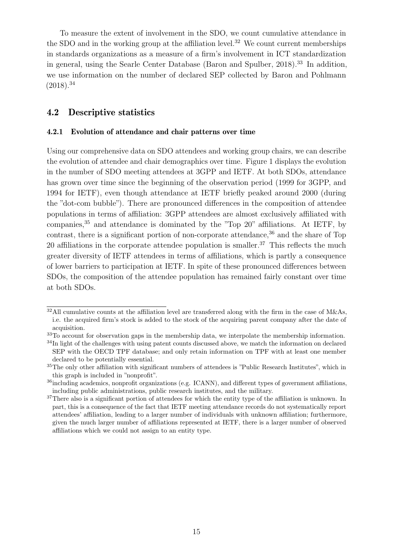To measure the extent of involvement in the SDO, we count cumulative attendance in the SDO and in the working group at the affiliation level.<sup>[32](#page-0-0)</sup> We count current memberships in standards organizations as a measure of a firm's involvement in ICT standardization in general, using the Searle Center Database [\(Baron and Spulber,](#page-35-12) [2018\)](#page-35-12).[33](#page-0-0) In addition, we use information on the number of declared SEP collected by [Baron and Pohlmann](#page-35-11)  $(2018).^{34}$  $(2018).^{34}$  $(2018).^{34}$  $(2018).^{34}$ 

### 4.2 Descriptive statistics

#### 4.2.1 Evolution of attendance and chair patterns over time

Using our comprehensive data on SDO attendees and working group chairs, we can describe the evolution of attendee and chair demographics over time. Figure [1](#page-16-0) displays the evolution in the number of SDO meeting attendees at 3GPP and IETF. At both SDOs, attendance has grown over time since the beginning of the observation period (1999 for 3GPP, and 1994 for IETF), even though attendance at IETF briefly peaked around 2000 (during the "dot-com bubble"). There are pronounced differences in the composition of attendee populations in terms of affiliation: 3GPP attendees are almost exclusively affiliated with companies,[35](#page-0-0) and attendance is dominated by the "Top 20" affiliations. At IETF, by contrast, there is a significant portion of non-corporate attendance,<sup>[36](#page-0-0)</sup> and the share of Top 20 affiliations in the corporate attendee population is smaller.<sup>[37](#page-0-0)</sup> This reflects the much greater diversity of IETF attendees in terms of affiliations, which is partly a consequence of lower barriers to participation at IETF. In spite of these pronounced differences between SDOs, the composition of the attendee population has remained fairly constant over time at both SDOs.

 $32$ All cumulative counts at the affiliation level are transferred along with the firm in the case of M&As, i.e. the acquired firm's stock is added to the stock of the acquiring parent company after the date of acquisition.

<sup>&</sup>lt;sup>33</sup>To account for observation gaps in the membership data, we interpolate the membership information.

<sup>&</sup>lt;sup>34</sup>In light of the challenges with using patent counts discussed above, we match the information on declared SEP with the OECD TPF database; and only retain information on TPF with at least one member declared to be potentially essential.

<sup>35</sup>The only other affiliation with significant numbers of attendees is "Public Research Institutes", which in this graph is included in "nonprofit".

<sup>&</sup>lt;sup>36</sup>including academics, nonprofit organizations (e.g. ICANN), and different types of government affiliations, including public administrations, public research institutes, and the military.

<sup>&</sup>lt;sup>37</sup>There also is a significant portion of attendees for which the entity type of the affiliation is unknown. In part, this is a consequence of the fact that IETF meeting attendance records do not systematically report attendees' affiliation, leading to a larger number of individuals with unknown affiliation; furthermore, given the much larger number of affiliations represented at IETF, there is a larger number of observed affiliations which we could not assign to an entity type.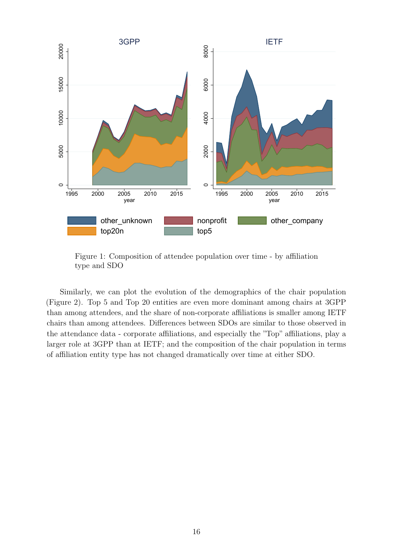<span id="page-16-0"></span>

Figure 1: Composition of attendee population over time - by affiliation type and SDO

Similarly, we can plot the evolution of the demographics of the chair population (Figure [2\)](#page-17-0). Top 5 and Top 20 entities are even more dominant among chairs at 3GPP than among attendees, and the share of non-corporate affiliations is smaller among IETF chairs than among attendees. Differences between SDOs are similar to those observed in the attendance data - corporate affiliations, and especially the "Top" affiliations, play a larger role at 3GPP than at IETF; and the composition of the chair population in terms of affiliation entity type has not changed dramatically over time at either SDO.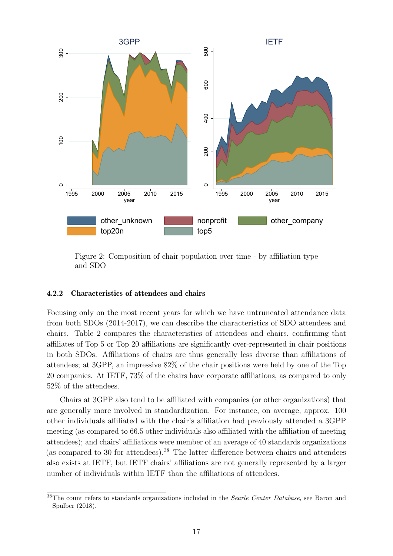<span id="page-17-0"></span>

Figure 2: Composition of chair population over time - by affiliation type and SDO

#### 4.2.2 Characteristics of attendees and chairs

Focusing only on the most recent years for which we have untruncated attendance data from both SDOs (2014-2017), we can describe the characteristics of SDO attendees and chairs. Table [2](#page-19-0) compares the characteristics of attendees and chairs, confirming that affiliates of Top 5 or Top 20 affiliations are significantly over-represented in chair positions in both SDOs. Affiliations of chairs are thus generally less diverse than affiliations of attendees; at 3GPP, an impressive 82% of the chair positions were held by one of the Top 20 companies. At IETF, 73% of the chairs have corporate affiliations, as compared to only 52% of the attendees.

Chairs at 3GPP also tend to be affiliated with companies (or other organizations) that are generally more involved in standardization. For instance, on average, approx. 100 other individuals affiliated with the chair's affiliation had previously attended a 3GPP meeting (as compared to 66.5 other individuals also affiliated with the affiliation of meeting attendees); and chairs' affiliations were member of an average of 40 standards organizations (as compared to 30 for attendees).[38](#page-0-0) The latter difference between chairs and attendees also exists at IETF, but IETF chairs' affiliations are not generally represented by a larger number of individuals within IETF than the affiliations of attendees.

 $38$ The count refers to standards organizations included in the *Searle Center Database*, see [Baron and](#page-35-12) [Spulber](#page-35-12) [\(2018\)](#page-35-12).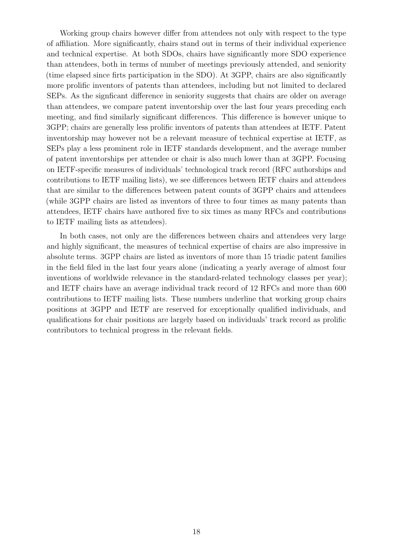Working group chairs however differ from attendees not only with respect to the type of affiliation. More significantly, chairs stand out in terms of their individual experience and technical expertise. At both SDOs, chairs have significantly more SDO experience than attendees, both in terms of number of meetings previously attended, and seniority (time elapsed since firts participation in the SDO). At 3GPP, chairs are also significantly more prolific inventors of patents than attendees, including but not limited to declared SEPs. As the signficant difference in seniority suggests that chairs are older on average than attendees, we compare patent inventorship over the last four years preceding each meeting, and find similarly significant differences. This difference is however unique to 3GPP; chairs are generally less prolific inventors of patents than attendees at IETF. Patent inventorship may however not be a relevant measure of technical expertise at IETF, as SEPs play a less prominent role in IETF standards development, and the average number of patent inventorships per attendee or chair is also much lower than at 3GPP. Focusing on IETF-specific measures of individuals' technological track record (RFC authorships and contributions to IETF mailing lists), we see differences between IETF chairs and attendees that are similar to the differences between patent counts of 3GPP chairs and attendees (while 3GPP chairs are listed as inventors of three to four times as many patents than attendees, IETF chairs have authored five to six times as many RFCs and contributions to IETF mailing lists as attendees).

In both cases, not only are the differences between chairs and attendees very large and highly significant, the measures of technical expertise of chairs are also impressive in absolute terms. 3GPP chairs are listed as inventors of more than 15 triadic patent families in the field filed in the last four years alone (indicating a yearly average of almost four inventions of worldwide relevance in the standard-related technology classes per year); and IETF chairs have an average individual track record of 12 RFCs and more than 600 contributions to IETF mailing lists. These numbers underline that working group chairs positions at 3GPP and IETF are reserved for exceptionally qualified individuals, and qualifications for chair positions are largely based on individuals' track record as prolific contributors to technical progress in the relevant fields.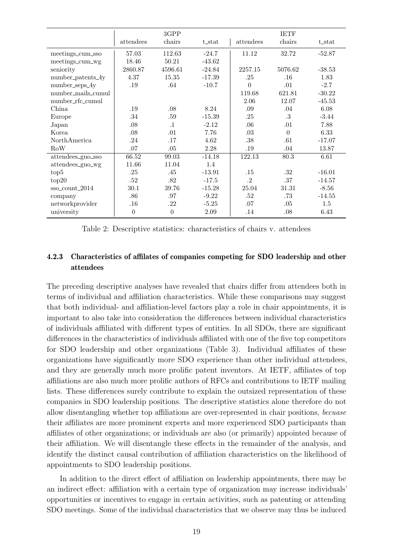<span id="page-19-0"></span>

|                        |                | 3GPP           |          |                | <b>IETF</b>    |          |
|------------------------|----------------|----------------|----------|----------------|----------------|----------|
|                        | attendees      | chairs         | t_stat   | attendees      | chairs         | t_stat   |
| meetings_cum_sso       | 57.03          | 112.63         | $-24.7$  | 11.12          | 32.72          | $-52.87$ |
| meetings_cum_wg        | 18.46          | 50.21          | $-43.62$ |                |                |          |
| seniority              | 2860.87        | 4596.61        | $-24.84$ | 2257.15        | 5076.62        | $-38.53$ |
| number_patents_4y      | 4.37           | 15.35          | $-17.39$ | .25            | .16            | 1.83     |
| number_seps_4y         | .19            | .64            | $-10.7$  | $\overline{0}$ | .01            | $-2.7$   |
| number_mails_cumul     |                |                |          | 119.68         | 621.81         | $-30.22$ |
| number_rfc_cumul       |                |                |          | 2.06           | 12.07          | $-45.53$ |
| China                  | .19            | .08            | 8.24     | .09            | .04            | 6.08     |
| Europe                 | .34            | .59            | $-15.39$ | .25            | .3             | $-3.44$  |
| Japan                  | .08            | $\cdot$ 1      | $-2.12$  | .06            | .01            | 7.88     |
| Korea                  | .08            | .01            | 7.76     | .03            | $\overline{0}$ | 6.33     |
| NorthAmerica           | .24            | .17            | 4.62     | .38            | .61            | $-17.07$ |
| RoW                    | .07            | .05            | 2.28     | .19            | .04            | 13.87    |
| $attendees_{guo\_sso}$ | 66.52          | 99.03          | $-14.18$ | 122.13         | 80.3           | 6.61     |
| attendees_guo_wg       | 11.66          | 11.04          | 1.4      |                |                |          |
| top5                   | .25            | .45            | $-13.91$ | .15            | .32            | $-16.01$ |
| top20                  | $.52\,$        | $.82\,$        | $-17.5$  | .2             | .37            | $-14.57$ |
| sso_count_2014         | 30.1           | 39.76          | $-15.28$ | 25.04          | 31.31          | $-8.56$  |
| company                | .86            | .97            | $-9.22$  | .52            | .73            | $-14.55$ |
| networkprovider        | .16            | .22            | $-5.25$  | .07            | .05            | $1.5\,$  |
| university             | $\overline{0}$ | $\overline{0}$ | 2.09     | .14            | .08            | 6.43     |

Table 2: Descriptive statistics: characteristics of chairs v. attendees

### 4.2.3 Characteristics of affilates of companies competing for SDO leadership and other attendees

The preceding descriptive analyses have revealed that chairs differ from attendees both in terms of individual and affiliation characteristics. While these comparisons may suggest that both individual- and affiliation-level factors play a role in chair appointments, it is important to also take into consideration the differences between individual characteristics of individuals affiliated with different types of entities. In all SDOs, there are significant differences in the characteristics of individuals affiliated with one of the five top competitors for SDO leadership and other organizations (Table [3\)](#page-20-0). Individual affiliates of these organizations have significantly more SDO experience than other individual attendees, and they are generally much more prolific patent inventors. At IETF, affiliates of top affiliations are also much more prolific authors of RFCs and contributions to IETF mailing lists. These differences surely contribute to explain the outsized representation of these companies in SDO leadership positions. The descriptive statistics alone therefore do not allow disentangling whether top affiliations are over-represented in chair positions, becuase their affiliates are more prominent experts and more experienced SDO participants than affiliates of other organizations; or individuals are also (or primarily) appointed because of their affiliation. We will disentangle these effects in the remainder of the analysis, and identify the distinct causal contribution of affiliation characteristics on the likelihood of appointments to SDO leadership positions.

In addition to the direct effect of affiliation on leadership appointments, there may be an indirect effect: affiliation with a certain type of organization may increase individuals' opportunities or incentives to engage in certain activities, such as patenting or attending SDO meetings. Some of the individual characteristics that we observe may thus be induced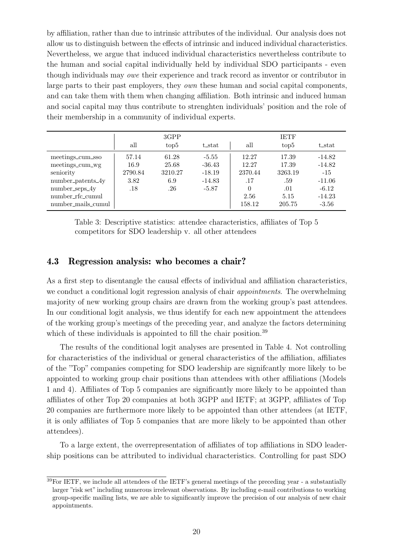by affiliation, rather than due to intrinsic attributes of the individual. Our analysis does not allow us to distinguish between the effects of intrinsic and induced individual characteristics. Nevertheless, we argue that induced individual characteristics nevertheless contribute to the human and social capital individually held by individual SDO participants - even though individuals may owe their experience and track record as inventor or contributor in large parts to their past employers, they *own* these human and social capital components, and can take them with them when changing affiliation. Both intrinsic and induced human and social capital may thus contribute to strenghten individuals' position and the role of their membership in a community of individual experts.

<span id="page-20-0"></span>

|                    |         | 3GPP    |                   |          |         |           |
|--------------------|---------|---------|-------------------|----------|---------|-----------|
|                    | all     | top5    | t <sub>stat</sub> | all      | top5    | $t\_stat$ |
| meetings_cum_sso   | 57.14   | 61.28   | $-5.55$           | 12.27    | 17.39   | $-14.82$  |
| meetings_cum_wg    | 16.9    | 25.68   | $-36.43$          | 12.27    | 17.39   | $-14.82$  |
| seniority          | 2790.84 | 3210.27 | $-18.19$          | 2370.44  | 3263.19 | $-15$     |
| number_patents_4y  | 3.82    | 6.9     | $-14.83$          | .17      | .59     | $-11.06$  |
| $number\_seps_4y$  | .18     | .26     | $-5.87$           | $\theta$ | .01     | $-6.12$   |
| number rfc cumul   |         |         |                   | 2.56     | 5.15    | $-14.23$  |
| number_mails_cumul |         |         |                   | 158.12   | 205.75  | $-3.56$   |

Table 3: Descriptive statistics: attendee characteristics, affiliates of Top 5 competitors for SDO leadership v. all other attendees

### <span id="page-20-1"></span>4.3 Regression analysis: who becomes a chair?

As a first step to disentangle the causal effects of individual and affiliation characteristics, we conduct a conditional logit regression analysis of chair *appointments*. The overwhelming majority of new working group chairs are drawn from the working group's past attendees. In our conditional logit analysis, we thus identify for each new appointment the attendees of the working group's meetings of the preceding year, and analyze the factors determining which of these individuals is appointed to fill the chair position.<sup>[39](#page-0-0)</sup>

The results of the conditional logit analyses are presented in Table [4.](#page-21-0) Not controlling for characteristics of the individual or general characteristics of the affiliation, affiliates of the "Top" companies competing for SDO leadership are signifcantly more likely to be appointed to working group chair positions than attendees with other affiliations (Models 1 and 4). Affiliates of Top 5 companies are significantly more likely to be appointed than affiliates of other Top 20 companies at both 3GPP and IETF; at 3GPP, affiliates of Top 20 companies are furthermore more likely to be appointed than other attendees (at IETF, it is only affiliates of Top 5 companies that are more likely to be appointed than other attendees).

To a large extent, the overrepresentation of affiliates of top affiliations in SDO leadership positions can be attributed to individual characteristics. Controlling for past SDO

<sup>39</sup>For IETF, we include all attendees of the IETF's general meetings of the preceding year - a substantially larger "risk set" including numerous irrelevant observations. By including e-mail contributions to working group-specific mailing lists, we are able to significantly improve the precision of our analysis of new chair appointments.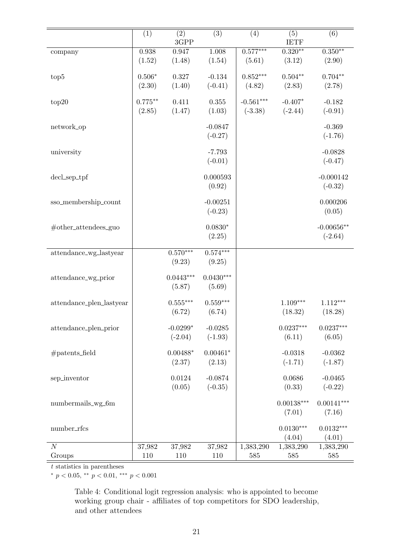<span id="page-21-0"></span>

|                                   | $\overline{(1)}$ | $\overline{(2)}$<br>3GPP | $\overline{(3)}$       | (4)              | $\overline{(5)}$<br><b>IETF</b> | $\overline{(6)}$       |
|-----------------------------------|------------------|--------------------------|------------------------|------------------|---------------------------------|------------------------|
| company                           | 0.938            | 0.947                    | 1.008                  | $0.577***$       | $0.320**$                       | $0.350**$              |
|                                   | (1.52)           | (1.48)                   | (1.54)                 | (5.61)           | (3.12)                          | (2.90)                 |
| top <sub>5</sub>                  | $0.506*$         | 0.327                    | $-0.134$               | $0.852***$       | $0.504**$                       | $0.704**$              |
|                                   | (2.30)           | (1.40)                   | $(-0.41)$              | (4.82)           | (2.83)                          | (2.78)                 |
|                                   |                  |                          |                        |                  |                                 |                        |
| top20                             | $0.775***$       | 0.411                    | $0.355\,$              | $-0.561^{***}\,$ | $-0.407*$                       | $-0.182$               |
|                                   | (2.85)           | (1.47)                   | (1.03)                 | $(-3.38)$        | $(-2.44)$                       | $(-0.91)$              |
| network_op                        |                  |                          | $-0.0847$              |                  |                                 | $-0.369$               |
|                                   |                  |                          | $(-0.27)$              |                  |                                 | $(-1.76)$              |
| university                        |                  |                          | $-7.793$               |                  |                                 | $-0.0828$              |
|                                   |                  |                          | $(-0.01)$              |                  |                                 | $(-0.47)$              |
|                                   |                  |                          |                        |                  |                                 |                        |
| $decLsep_{\text{Lpp}}$            |                  |                          | 0.000593               |                  |                                 | $-0.000142$            |
|                                   |                  |                          | (0.92)                 |                  |                                 | $(-0.32)$              |
| sso_membership_count              |                  |                          | $-0.00251$             |                  |                                 | 0.000206               |
|                                   |                  |                          | $(-0.23)$              |                  |                                 | (0.05)                 |
|                                   |                  |                          | $0.0830*$              |                  |                                 | $-0.00656**$           |
| $#other_attendees_guo$            |                  |                          | (2.25)                 |                  |                                 | $(-2.64)$              |
|                                   |                  |                          |                        |                  |                                 |                        |
| attendance_wg_lastyear            |                  | $0.5\overline{70***}$    | $0.574***$             |                  |                                 |                        |
|                                   |                  | (9.23)                   | (9.25)                 |                  |                                 |                        |
| attendance_wg_prior               |                  | $0.0443***$              | $0.0430***$            |                  |                                 |                        |
|                                   |                  | (5.87)                   | (5.69)                 |                  |                                 |                        |
|                                   |                  | $0.555***$               | $0.559***$             |                  | $1.109***$                      |                        |
| attendance_plen_lastyear          |                  | (6.72)                   | (6.74)                 |                  | (18.32)                         | $1.112***$<br>(18.28)  |
|                                   |                  |                          |                        |                  |                                 |                        |
| attendance_plen_prior             |                  | $-0.0299*$               | $-0.0285$              |                  | $0.0237***$                     | $0.0237***$            |
|                                   |                  | $(-2.04)$                | $(-1.93)$              |                  | (6.11)                          | (6.05)                 |
| $# \text{patterns}\_\text{field}$ |                  | $0.00488*$               | $0.00461*$             |                  | $-0.0318$                       | $-0.0362$              |
|                                   |                  | (2.37)                   | (2.13)                 |                  | $(-1.71)$                       | $(-1.87)$              |
|                                   |                  |                          |                        |                  |                                 |                        |
| sep_inventor                      |                  | 0.0124<br>(0.05)         | $-0.0874$<br>$(-0.35)$ |                  | 0.0686<br>(0.33)                | $-0.0465$<br>$(-0.22)$ |
|                                   |                  |                          |                        |                  |                                 |                        |
| numbermails_wg_6m                 |                  |                          |                        |                  | $0.00138^{***}\,$               | $0.00141***$           |
|                                   |                  |                          |                        |                  | (7.01)                          | (7.16)                 |
| number_rfcs                       |                  |                          |                        |                  | $0.0130***$                     | $0.0132***$            |
|                                   |                  |                          |                        |                  | (4.04)                          | (4.01)                 |
| $\overline{N}$                    | 37,982           | 37,982                   | 37,982                 | 1,383,290        | 1,383,290                       | 1,383,290              |
| Groups                            | 110              | 110                      | 110                    | 585              | 585                             | 585                    |

 $t$  statistics in parentheses  $\overline{\phantom{a}}$ 

<sup>∗</sup> p < 0.05, ∗∗ p < 0.01, ∗∗∗ p < 0.001

Table 4: Conditional logit regression analysis: who is appointed to become working group chair - affiliates of top competitors for SDO leadership, and other attendees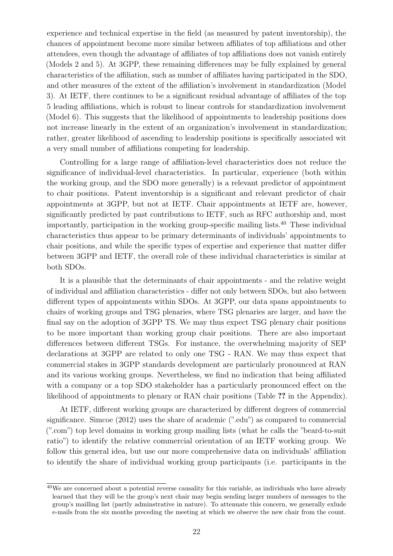experience and technical expertise in the field (as measured by patent inventorship), the chances of appointment become more similar between affiliates of top affiliations and other attendees, even though the advantage of affiliates of top affiliations does not vanish entirely (Models 2 and 5). At 3GPP, these remaining differences may be fully explained by general characteristics of the affiliation, such as number of affiliates having participated in the SDO, and other measures of the extent of the affiliation's involvement in standardization (Model 3). At IETF, there continues to be a significant residual advantage of affiliates of the top 5 leading affiliations, which is robust to linear controls for standardization involvement (Model 6). This suggests that the likelihood of appointments to leadership positions does not increase linearly in the extent of an organization's involvement in standardization; rather, greater likelihood of ascending to leadership positions is specifically associated wit a very small number of affiliations competing for leadership.

Controlling for a large range of affiliation-level characteristics does not reduce the significance of individual-level characteristics. In particular, experience (both within the working group, and the SDO more generally) is a relevant predictor of appointment to chair positions. Patent inventorship is a significant and relevant predictor of chair appointments at 3GPP, but not at IETF. Chair appointments at IETF are, however, significantly predicted by past contributions to IETF, such as RFC authorship and, most importantly, participation in the working group-specific mailing lists.[40](#page-0-0) These individual characteristics thus appear to be primary determinants of individuals' appointments to chair positions, and while the specific types of expertise and experience that matter differ between 3GPP and IETF, the overall role of these individual characteristics is similar at both SDOs.

It is a plausible that the determinants of chair appointments - and the relative weight of individual and affiliation characteristics - differ not only between SDOs, but also between different types of appointments within SDOs. At 3GPP, our data spans appointments to chairs of working groups and TSG plenaries, where TSG plenaries are larger, and have the final say on the adoption of 3GPP TS. We may thus expect TSG plenary chair positions to be more important than working group chair positions. There are also important differences between different TSGs. For instance, the overwhelming majority of SEP declarations at 3GPP are related to only one TSG - RAN. We may thus expect that commercial stakes in 3GPP standards development are particularly pronounced at RAN and its various working groups. Nevertheless, we find no indication that being affiliated with a company or a top SDO stakeholder has a particularly pronounced effect on the likelihood of appointments to plenary or RAN chair positions (Table [??](#page-41-0) in the Appendix).

At IETF, different working groups are characterized by different degrees of commercial significance. [Simcoe](#page-38-0) [\(2012\)](#page-38-0) uses the share of academic (".edu") as compared to commercial (".com") top level domains in working group mailing lists (what he calls the "beard-to-suit ratio") to identify the relative commercial orientation of an IETF working group. We follow this general idea, but use our more comprehensive data on individuals' affiliation to identify the share of individual working group participants (i.e. participants in the

<sup>&</sup>lt;sup>40</sup>We are concerned about a potential reverse causality for this variable, as individuals who have already learned that they will be the group's next chair may begin sending larger numbers of messages to the group's mailling list (partly adminstrative in nature). To attenuate this concern, we generally exlude e-mails from the six months preceding the meeting at which we observe the new chair from the count.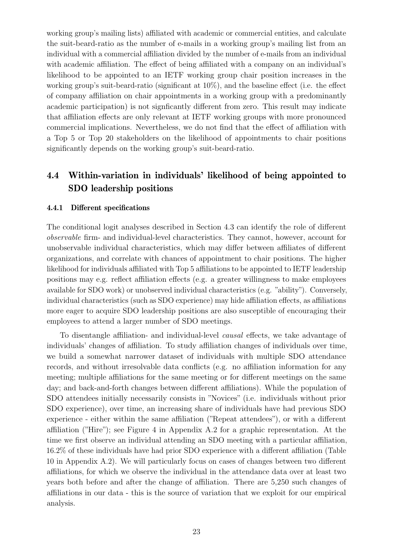working group's mailing lists) affiliated with academic or commercial entities, and calculate the suit-beard-ratio as the number of e-mails in a working group's mailing list from an individual with a commercial affiliation divided by the number of e-mails from an individual with academic affiliation. The effect of being affiliated with a company on an individual's likelihood to be appointed to an IETF working group chair position increases in the working group's suit-beard-ratio (significant at 10%), and the baseline effect (i.e. the effect of company affiliation on chair appointments in a working group with a predominantly academic participation) is not signficantly different from zero. This result may indicate that affiliation effects are only relevant at IETF working groups with more pronounced commercial implications. Nevertheless, we do not find that the effect of affiliation with a Top 5 or Top 20 stakeholders on the likelihood of appointments to chair positions significantly depends on the working group's suit-beard-ratio.

## 4.4 Within-variation in individuals' likelihood of being appointed to SDO leadership positions

#### 4.4.1 Different specifications

The conditional logit analyses described in Section [4.3](#page-20-1) can identify the role of different observable firm- and individual-level characteristics. They cannot, however, account for unobservable individual characteristics, which may differ between affiliates of different organizations, and correlate with chances of appointment to chair positions. The higher likelihood for individuals affiliated with Top 5 affiliations to be appointed to IETF leadership positions may e.g. reflect affiliation effects (e.g. a greater willingness to make employees available for SDO work) or unobserved individual characteristics (e.g. "ability"). Conversely, individual characteristics (such as SDO experience) may hide affiliation effects, as affiliations more eager to acquire SDO leadership positions are also susceptible of encouraging their employees to attend a larger number of SDO meetings.

To disentangle affiliation- and individual-level causal effects, we take advantage of individuals' changes of affiliation. To study affiliation changes of individuals over time, we build a somewhat narrower dataset of individuals with multiple SDO attendance records, and without irresolvable data conflicts (e.g. no affiliation information for any meeting; multiple affiliations for the same meeting or for different meetings on the same day; and back-and-forth changes between different affiliations). While the population of SDO attendees initially necessarily consists in "Novices" (i.e. individuals without prior SDO experience), over time, an increasing share of individuals have had previous SDO experience - either within the same affiliation ("Repeat attendees"), or with a different affiliation ("Hire"); see Figure [4](#page-40-0) in Appendix [A.2](#page-40-1) for a graphic representation. At the time we first observe an individual attending an SDO meeting with a particular affiliation, 16.2% of these individuals have had prior SDO experience with a different affiliation (Table [10](#page-40-2) in Appendix [A.2\)](#page-40-1). We will particularly focus on cases of changes between two different affiliations, for which we observe the individual in the attendance data over at least two years both before and after the change of affiliation. There are 5,250 such changes of affiliations in our data - this is the source of variation that we exploit for our empirical analysis.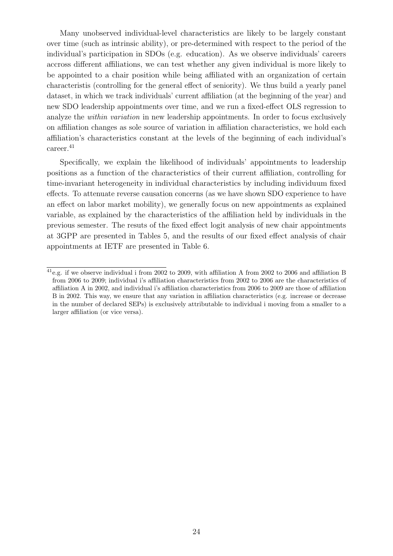Many unobserved individual-level characteristics are likely to be largely constant over time (such as intrinsic ability), or pre-determined with respect to the period of the individual's participation in SDOs (e.g. education). As we observe individuals' careers accross different affiliations, we can test whether any given individual is more likely to be appointed to a chair position while being affiliated with an organization of certain characteristis (controlling for the general effect of seniority). We thus build a yearly panel dataset, in which we track individuals' current affiliation (at the beginning of the year) and new SDO leadership appointments over time, and we run a fixed-effect OLS regression to analyze the *within variation* in new leadership appointments. In order to focus exclusively on affiliation changes as sole source of variation in affiliation characteristics, we hold each affiliation's characteristics constant at the levels of the beginning of each individual's career.<sup>[41](#page-0-0)</sup>

Specifically, we explain the likelihood of individuals' appointments to leadership positions as a function of the characteristics of their current affiliation, controlling for time-invariant heterogeneity in individual characteristics by including individuum fixed effects. To attenuate reverse causation concerns (as we have shown SDO experience to have an effect on labor market mobility), we generally focus on new appointments as explained variable, as explained by the characteristics of the affiliation held by individuals in the previous semester. The resuts of the fixed effect logit analysis of new chair appointments at 3GPP are presented in Tables [5,](#page-25-0) and the results of our fixed effect analysis of chair appointments at IETF are presented in Table [6.](#page-26-0)

 $^{41}$ e.g. if we observe individual i from 2002 to 2009, with affiliation A from 2002 to 2006 and affiliation B from 2006 to 2009; individual i's affiliation characteristics from 2002 to 2006 are the characteristics of affiliation A in 2002, and individual i's affiliation characteristics from 2006 to 2009 are those of affiliation B in 2002. This way, we ensure that any variation in affiliation characteristics (e.g. increase or decrease in the number of declared SEPs) is exclusively attributable to individual i moving from a smaller to a larger affiliation (or vice versa).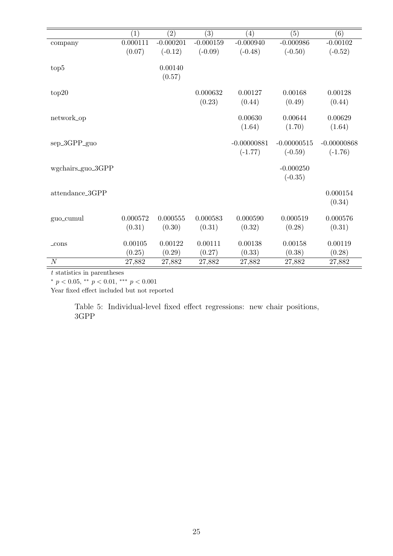<span id="page-25-0"></span>

|                   | (1)      | (2)         | (3)         | $\left( 4\right)$ | (5)           | (6)           |
|-------------------|----------|-------------|-------------|-------------------|---------------|---------------|
| company           | 0.000111 | $-0.000201$ | $-0.000159$ | $-0.000940$       | $-0.000986$   | $-0.00102$    |
|                   | (0.07)   | $(-0.12)$   | $(-0.09)$   | $(-0.48)$         | $(-0.50)$     | $(-0.52)$     |
|                   |          |             |             |                   |               |               |
| top5              |          | 0.00140     |             |                   |               |               |
|                   |          | (0.57)      |             |                   |               |               |
|                   |          |             | 0.000632    | 0.00127           | 0.00168       | 0.00128       |
| top20             |          |             |             |                   |               |               |
|                   |          |             | (0.23)      | (0.44)            | (0.49)        | (0.44)        |
| network_op        |          |             |             | 0.00630           | 0.00644       | 0.00629       |
|                   |          |             |             | (1.64)            | (1.70)        | (1.64)        |
|                   |          |             |             |                   |               |               |
| sep_3GPP_guo      |          |             |             | $-0.00000881$     | $-0.00000515$ | $-0.00000868$ |
|                   |          |             |             | $(-1.77)$         | $(-0.59)$     | $(-1.76)$     |
|                   |          |             |             |                   |               |               |
| wgchairs_guo_3GPP |          |             |             |                   | $-0.000250$   |               |
|                   |          |             |             |                   | $(-0.35)$     |               |
| attendance_3GPP   |          |             |             |                   |               | 0.000154      |
|                   |          |             |             |                   |               | (0.34)        |
|                   |          |             |             |                   |               |               |
| guo_cumul         | 0.000572 | 0.000555    | 0.000583    | 0.000590          | 0.000519      | 0.000576      |
|                   | (0.31)   | (0.30)      | (0.31)      | (0.32)            | (0.28)        | (0.31)        |
|                   |          |             |             |                   |               |               |
| $_{\rm cons}$     | 0.00105  | 0.00122     | 0.00111     | 0.00138           | 0.00158       | 0.00119       |
|                   | (0.25)   | (0.29)      | (0.27)      | (0.33)            | (0.38)        | (0.28)        |
| $\cal N$          | 27,882   | 27,882      | 27,882      | 27,882            | 27,882        | 27,882        |

 $t$  statistics in parentheses  $\overline{\phantom{a}}$ 

\*  $p < 0.05$ , \*\*  $p < 0.01$ , \*\*\*  $p < 0.001$ 

Year fixed effect included but not reported

Table 5: Individual-level fixed effect regressions: new chair positions, 3GPP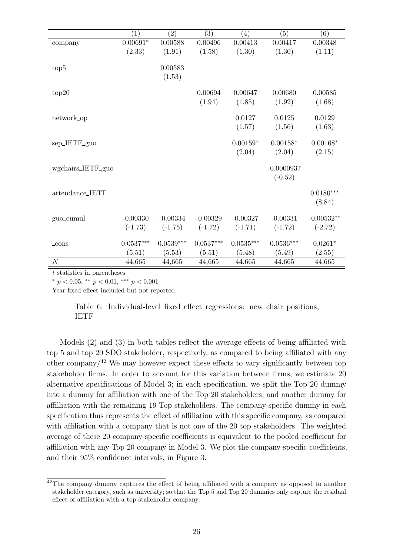<span id="page-26-0"></span>

|                   | (1)         | $\left( 2\right)$ | $\left( 3\right)$ | $\left( 4\right)$    | (5)                       | (6)                   |
|-------------------|-------------|-------------------|-------------------|----------------------|---------------------------|-----------------------|
| company           | $0.00691*$  | 0.00588           | 0.00496           | 0.00413              | 0.00417                   | 0.00348               |
|                   | (2.33)      | (1.91)            | (1.58)            | (1.30)               | (1.30)                    | (1.11)                |
| top <sub>5</sub>  |             | 0.00583<br>(1.53) |                   |                      |                           |                       |
| top20             |             |                   | 0.00694           | 0.00647              | 0.00680                   | 0.00585               |
|                   |             |                   | (1.94)            | (1.85)               | (1.92)                    | (1.68)                |
| network_op        |             |                   |                   | 0.0127               | 0.0125                    | 0.0129                |
|                   |             |                   |                   | (1.57)               | (1.56)                    | (1.63)                |
| sep_IETF_guo      |             |                   |                   | $0.00159*$<br>(2.04) | $0.00158*$<br>(2.04)      | $0.00168*$<br>(2.15)  |
| wgchairs_IETF_guo |             |                   |                   |                      | $-0.0000937$<br>$(-0.52)$ |                       |
| attendance_IETF   |             |                   |                   |                      |                           | $0.0180***$<br>(8.84) |
| guo_cumul         | $-0.00330$  | $-0.00334$        | $-0.00329$        | $-0.00327$           | $-0.00331$                | $-0.00532**$          |
|                   | $(-1.73)$   | $(-1.75)$         | $(-1.72)$         | $(-1.71)$            | $(-1.72)$                 | $(-2.72)$             |
| $_{\rm-cons}$     | $0.0537***$ | $0.0539***$       | $0.0537***$       | $0.0535***$          | $0.0536***$               | $0.0261*$             |
|                   | (5.51)      | (5.53)            | (5.51)            | (5.48)               | (5.49)                    | (2.55)                |
| $\boldsymbol{N}$  | 44,665      | 44,665            | 44,665            | 44,665               | 44,665                    | 44,665                |

t statistics in parentheses

\*  $p < 0.05$ , \*\*  $p < 0.01$ , \*\*\*  $p < 0.001$ 

Year fixed effect included but not reported

Table 6: Individual-level fixed effect regressions: new chair positions, IETF

Models (2) and (3) in both tables reflect the average effects of being affiliated with top 5 and top 20 SDO stakeholder, respectively, as compared to being affiliated with any other company/ $42$  We may however expect these effects to vary significantly between top stakeholder firms. In order to account for this variation between firms, we estimate 20 alternative specifications of Model 3; in each specification, we split the Top 20 dummy into a dummy for affiliation with one of the Top 20 stakeholders, and another dummy for affilliation with the remaining 19 Top stakeholders. The company-specific dummy in each specification thus represents the effect of affiliation with this specific company, as compared with affiliation with a company that is not one of the 20 top stakeholders. The weighted average of these 20 company-specific coefficients is equivalent to the pooled coefficient for affiliation with any Top 20 company in Model 3. We plot the company-specific coefficients, and their 95% confidence intervals, in Figure [3.](#page-27-0)

<sup>&</sup>lt;sup>42</sup>The company dummy captures the effect of being affiliated with a company as opposed to another stakeholder category, such as university; so that the Top 5 and Top 20 dummies only capture the residual effect of affiliation with a top stakeholder company.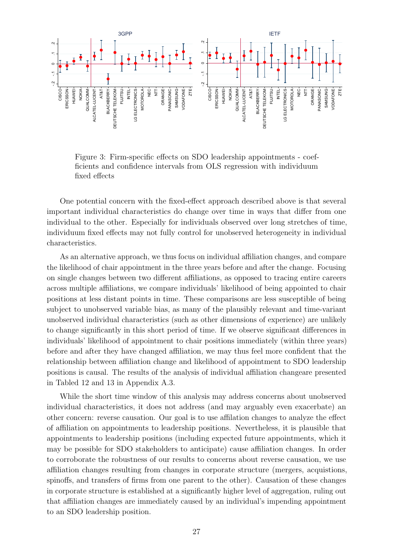<span id="page-27-0"></span>

Figure 3: Firm-specific effects on SDO leadership appointments - coefficients and confidence intervals from OLS regression with individuum fixed effects

One potential concern with the fixed-effect approach described above is that several important individual characteristics do change over time in ways that differ from one individual to the other. Especially for individuals observed over long stretches of time, individuum fixed effects may not fully control for unobserved heterogeneity in individual characteristics.

As an alternative approach, we thus focus on individual affiliation changes, and compare the likelihood of chair appointment in the three years before and after the change. Focusing on single changes between two different affiliations, as opposed to tracing entire careers across multiple affiliations, we compare individuals' likelihood of being appointed to chair positions at less distant points in time. These comparisons are less susceptible of being subject to unobserved variable bias, as many of the plausibly relevant and time-variant unobserved individual characteristics (such as other dimensions of experience) are unlikely to change significantly in this short period of time. If we observe significant differences in individuals' likelihood of appointment to chair positions immediately (within three years) before and after they have changed affiliation, we may thus feel more confident that the relationship between affiliation change and likelihood of appointment to SDO leadership positions is causal. The results of the analysis of individual affiliation changeare presented in Tabled [12](#page-42-0) and [13](#page-43-0) in Appendix [A.3.](#page-42-1)

While the short time window of this analysis may address concerns about unobserved individual characteristics, it does not address (and may arguably even exacerbate) an other concern: reverse causation. Our goal is to use affilation changes to analyze the effect of affiliation on appointments to leadership positions. Nevertheless, it is plausible that appointments to leadership positions (including expected future appointments, which it may be possible for SDO stakeholders to anticipate) cause affiliation changes. In order to corroborate the robustness of our results to concerns about reverse causation, we use affiliation changes resulting from changes in corporate structure (mergers, acquistions, spinoffs, and transfers of firms from one parent to the other). Causation of these changes in corporate structure is established at a significantly higher level of aggregation, ruling out that affiliation changes are immediately caused by an individual's impending appointment to an SDO leadership position.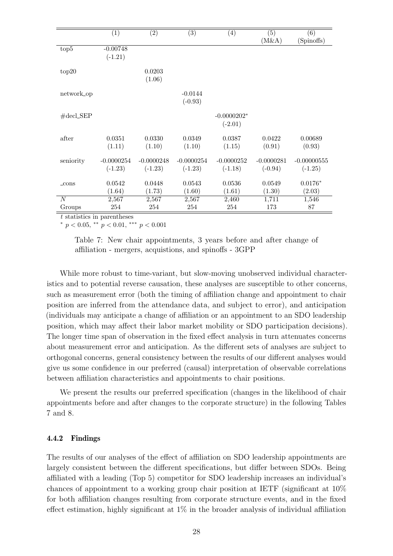<span id="page-28-0"></span>

|                            | (1)                       | (2)                       | $\overline{(3)}$          | $\left( 4\right)$          | $\left( 5\right)$<br>(M&A) | (6)<br>(Spinoffs)          |
|----------------------------|---------------------------|---------------------------|---------------------------|----------------------------|----------------------------|----------------------------|
| top <sub>5</sub>           | $-0.00748$<br>$(-1.21)$   |                           |                           |                            |                            |                            |
| top20                      |                           | 0.0203<br>(1.06)          |                           |                            |                            |                            |
| network_op                 |                           |                           | $-0.0144$<br>$(-0.93)$    |                            |                            |                            |
| $\#$ decl_SEP              |                           |                           |                           | $-0.0000202*$<br>$(-2.01)$ |                            |                            |
| after                      | 0.0351<br>(1.11)          | 0.0330<br>(1.10)          | 0.0349<br>(1.10)          | 0.0387<br>(1.15)           | 0.0422<br>(0.91)           | 0.00689<br>(0.93)          |
| seniority                  | $-0.0000254$<br>$(-1.23)$ | $-0.0000248$<br>$(-1.23)$ | $-0.0000254$<br>$(-1.23)$ | $-0.0000252$<br>$(-1.18)$  | $-0.0000281$<br>$(-0.94)$  | $-0.00000555$<br>$(-1.25)$ |
| $_{\rm -cons}$             | 0.0542<br>(1.64)          | 0.0448<br>(1.73)          | 0.0543<br>(1.60)          | 0.0536<br>(1.61)           | 0.0549<br>(1.30)           | $0.0176*$<br>(2.03)        |
| $\boldsymbol{N}$<br>Groups | 2,567<br>254              | 2,567<br>254              | 2,567<br>254              | 2,460<br>254               | 1,711<br>173               | 1,546<br>87                |

t statistics in parentheses

 $\frac{*}{p}$   $p$  < 0.05,  $\frac{*}{p}$   $p$  < 0.01,  $\frac{***}{p}$   $p$  < 0.001

Table 7: New chair appointments, 3 years before and after change of affiliation - mergers, acquistions, and spinoffs - 3GPP

While more robust to time-variant, but slow-moving unobserved individual characteristics and to potential reverse causation, these analyses are susceptible to other concerns, such as measurement error (both the timing of affiliation change and appointment to chair position are inferred from the attendance data, and subject to error), and anticipation (individuals may anticipate a change of affiliation or an appointment to an SDO leadership position, which may affect their labor market mobility or SDO participation decisions). The longer time span of observation in the fixed effect analysis in turn attenuates concerns about measurement error and anticipation. As the different sets of analyses are subject to orthogonal concerns, general consistency between the results of our different analyses would give us some confidence in our preferred (causal) interpretation of observable correlations between affiliation characteristics and appointments to chair positions.

We present the results our preferred specification (changes in the likelihood of chair appointments before and after changes to the corporate structure) in the following Tables [7](#page-28-0) and [8.](#page-29-0)

#### 4.4.2 Findings

The results of our analyses of the effect of affiliation on SDO leadership appointments are largely consistent between the different specifications, but differ between SDOs. Being affiliated with a leading (Top 5) competitor for SDO leadership increases an individual's chances of appointment to a working group chair position at IETF (significant at 10% for both affiliation changes resulting from corporate structure events, and in the fixed effect estimation, highly significant at  $1\%$  in the broader analysis of individual affiliation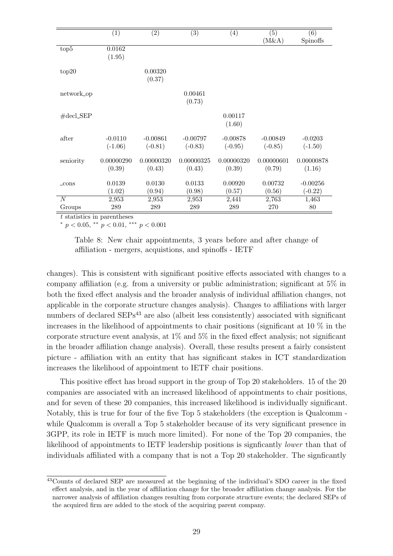<span id="page-29-0"></span>

|                            | (1)                    | (2)                     | $\overline{(3)}$        | $\left( 4\right)$       | (5)<br>(M&A)            | (6)<br>Spinoffs         |
|----------------------------|------------------------|-------------------------|-------------------------|-------------------------|-------------------------|-------------------------|
| top <sub>5</sub>           | 0.0162<br>(1.95)       |                         |                         |                         |                         |                         |
| top20                      |                        | 0.00320<br>(0.37)       |                         |                         |                         |                         |
| network_op                 |                        |                         | 0.00461<br>(0.73)       |                         |                         |                         |
| $\#$ decl_SEP              |                        |                         |                         | 0.00117<br>(1.60)       |                         |                         |
| after                      | $-0.0110$<br>$(-1.06)$ | $-0.00861$<br>$(-0.81)$ | $-0.00797$<br>$(-0.83)$ | $-0.00878$<br>$(-0.95)$ | $-0.00849$<br>$(-0.85)$ | $-0.0203$<br>$(-1.50)$  |
| seniority                  | 0.00000290<br>(0.39)   | 0.00000320<br>(0.43)    | 0.00000325<br>(0.43)    | 0.00000320<br>(0.39)    | 0.00000601<br>(0.79)    | 0.00000878<br>(1.16)    |
| $_{\rm -cons}$             | 0.0139<br>(1.02)       | 0.0130<br>(0.94)        | 0.0133<br>(0.98)        | 0.00920<br>(0.57)       | 0.00732<br>(0.56)       | $-0.00256$<br>$(-0.22)$ |
| $\boldsymbol{N}$<br>Groups | 2,953<br>289           | 2,953<br>289            | 2,953<br>289            | 2,441<br>289            | 2,763<br>270            | 1,463<br>80             |

t statistics in parentheses

 $\binom{*}{p}$   $<$  0.05,  $\binom{*}{p}$   $<$  0.01,  $\binom{*}{p}$   $<$  0.001

Table 8: New chair appointments, 3 years before and after change of affiliation - mergers, acquistions, and spinoffs - IETF

changes). This is consistent with significant positive effects associated with changes to a company affiliation (e.g. from a university or public administration; significant at 5% in both the fixed effect analysis and the broader analysis of individual affiliation changes, not applicable in the corporate structure changes analysis). Changes to affiliations with larger numbers of declared  $SEPs<sup>43</sup>$  $SEPs<sup>43</sup>$  $SEPs<sup>43</sup>$  are also (albeit less consistently) associated with significant increases in the likelihood of appointments to chair positions (significant at 10 % in the corporate structure event analysis, at  $1\%$  and  $5\%$  in the fixed effect analysis; not significant in the broader affiliation change analysis). Overall, these results present a fairly consistent picture - affiliation with an entity that has significant stakes in ICT standardization increases the likelihood of appointment to IETF chair positions.

This positive effect has broad support in the group of Top 20 stakeholders. 15 of the 20 companies are associated with an increased likelihood of appointments to chair positions, and for seven of these 20 companies, this increased likelihood is individually significant. Notably, this is true for four of the five Top 5 stakeholders (the exception is Qualcomm while Qualcomm is overall a Top 5 stakeholder because of its very significant presence in 3GPP, its role in IETF is much more limited). For none of the Top 20 companies, the likelihood of appointments to IETF leadership positions is signficantly lower than that of individuals affiliated with a company that is not a Top 20 stakeholder. The signficantly

<sup>43</sup>Counts of declared SEP are measured at the beginning of the individual's SDO career in the fixed effect analysis, and in the year of affiliation change for the broader affiliation change analysis. For the narrower analysis of affiliation changes resulting from corporate structure events; the declared SEPs of the acquired firm are added to the stock of the acquiring parent company.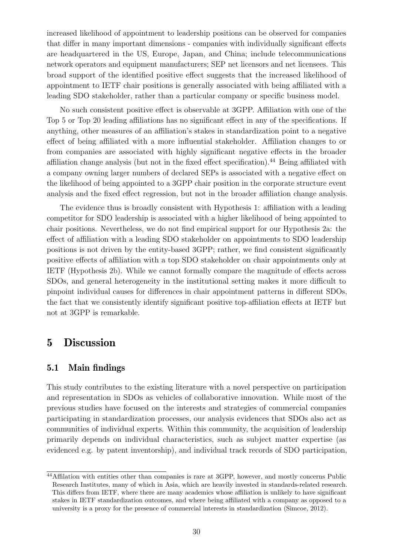increased likelihood of appointment to leadership positions can be observed for companies that differ in many important dimensions - companies with individually significant effects are headquartered in the US, Europe, Japan, and China; include telecommunications network operators and equipment manufacturers; SEP net licensors and net licensees. This broad support of the identified positive effect suggests that the increased likelihood of appointment to IETF chair positions is generally associated with being affiliated with a leading SDO stakeholder, rather than a particular company or specific business model.

No such consistent positive effect is observable at 3GPP. Affiliation with one of the Top 5 or Top 20 leading affiliations has no significant effect in any of the specifications. If anything, other measures of an affiliation's stakes in standardization point to a negative effect of being affiliated with a more influential stakeholder. Affiliation changes to or from companies are associated with highly significant negative effects in the broader affiliation change analysis (but not in the fixed effect specification).[44](#page-0-0) Being affiliated with a company owning larger numbers of declared SEPs is associated with a negative effect on the likelihood of being appointed to a 3GPP chair position in the corporate structure event analysis and the fixed effect regression, but not in the broader affiliation change analysis.

The evidence thus is broadly consistent with Hypothesis [1:](#page-10-0) affiliation with a leading competitor for SDO leadership is associated with a higher likelihood of being appointed to chair positions. Nevertheless, we do not find empirical support for our Hypothesis [2a:](#page-10-0) the effect of affiliation with a leading SDO stakeholder on appointments to SDO leadership positions is not driven by the entity-based 3GPP; rather, we find consistent significantly positive effects of affiliation with a top SDO stakeholder on chair appointments only at IETF (Hypothesis [2b\)](#page-11-0). While we cannot formally compare the magnitude of effects across SDOs, and general heterogeneity in the institutional setting makes it more difficult to pinpoint individual causes for differences in chair appointment patterns in different SDOs, the fact that we consistently identify significant positive top-affiliation effects at IETF but not at 3GPP is remarkable.

### 5 Discussion

### 5.1 Main findings

This study contributes to the existing literature with a novel perspective on participation and representation in SDOs as vehicles of collaborative innovation. While most of the previous studies have focused on the interests and strategies of commercial companies participating in standardization processes, our analysis evidences that SDOs also act as communities of individual experts. Within this community, the acquisition of leadership primarily depends on individual characteristics, such as subject matter expertise (as evidenced e.g. by patent inventorship), and individual track records of SDO participation,

<sup>&</sup>lt;sup>44</sup>Affilation with entities other than companies is rare at 3GPP, however, and mostly concerns Public Research Institutes, many of which in Asia, which are heavily invested in standards-related research. This differs from IETF, where there are many academics whose affiliation is unlikely to have significant stakes in IETF standardization outcomes, and where being affiliated with a company as opposed to a university is a proxy for the presence of commercial interests in standardization [\(Simcoe,](#page-38-0) [2012\)](#page-38-0).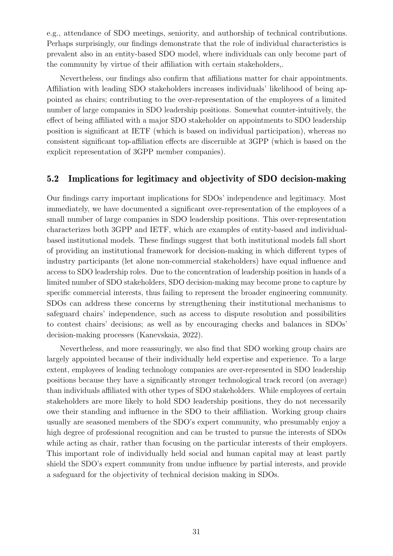e.g., attendance of SDO meetings, seniority, and authorship of technical contributions. Perhaps surprisingly, our findings demonstrate that the role of individual characteristics is prevalent also in an entity-based SDO model, where individuals can only become part of the community by virtue of their affiliation with certain stakeholders,.

Nevertheless, our findings also confirm that affiliations matter for chair appointments. Affiliation with leading SDO stakeholders increases individuals' likelihood of being appointed as chairs; contributing to the over-representation of the employees of a limited number of large companies in SDO leadership positions. Somewhat counter-intuitively, the effect of being affiliated with a major SDO stakeholder on appointments to SDO leadership position is significant at IETF (which is based on individual participation), whereas no consistent significant top-affiliation effects are discernible at 3GPP (which is based on the explicit representation of 3GPP member companies).

### 5.2 Implications for legitimacy and objectivity of SDO decision-making

Our findings carry important implications for SDOs' independence and legitimacy. Most immediately, we have documented a significant over-representation of the employees of a small number of large companies in SDO leadership positions. This over-representation characterizes both 3GPP and IETF, which are examples of entity-based and individualbased institutional models. These findings suggest that both institutional models fall short of providing an institutional framework for decision-making in which different types of industry participants (let alone non-commercial stakeholders) have equal influence and access to SDO leadership roles. Due to the concentration of leadership position in hands of a limited number of SDO stakeholders, SDO decision-making may become prone to capture by specific commercial interests, thus failing to represent the broader engineering community. SDOs can address these concerns by strengthening their institutional mechanisms to safeguard chairs' independence, such as access to dispute resolution and possibilities to contest chairs' decisions; as well as by encouraging checks and balances in SDOs' decision-making processes [\(Kanevskaia,](#page-37-11) [2022\)](#page-37-11).

Nevertheless, and more reassuringly, we also find that SDO working group chairs are largely appointed because of their individually held expertise and experience. To a large extent, employees of leading technology companies are over-represented in SDO leadership positions because they have a significantly stronger technological track record (on average) than individuals affiliated with other types of SDO stakeholders. While employees of certain stakeholders are more likely to hold SDO leadership positions, they do not necessarily owe their standing and influence in the SDO to their affiliation. Working group chairs usually are seasoned members of the SDO's expert community, who presumably enjoy a high degree of professional recognition and can be trusted to pursue the interests of SDOs while acting as chair, rather than focusing on the particular interests of their employers. This important role of individually held social and human capital may at least partly shield the SDO's expert community from undue influence by partial interests, and provide a safeguard for the objectivity of technical decision making in SDOs.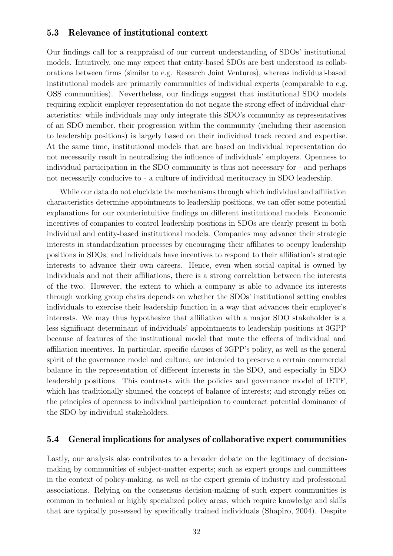### 5.3 Relevance of institutional context

Our findings call for a reappraisal of our current understanding of SDOs' institutional models. Intuitively, one may expect that entity-based SDOs are best understood as collaborations between firms (similar to e.g. Research Joint Ventures), whereas individual-based institutional models are primarily communities of individual experts (comparable to e.g. OSS communities). Nevertheless, our findings suggest that institutional SDO models requiring explicit employer representation do not negate the strong effect of individual characteristics: while individuals may only integrate this SDO's community as representatives of an SDO member, their progression within the community (including their ascension to leadership positions) is largely based on their individual track record and expertise. At the same time, institutional models that are based on individual representation do not necessarily result in neutralizing the influence of individuals' employers. Openness to individual participation in the SDO community is thus not necessary for - and perhaps not necessarily conducive to - a culture of individual meritocracy in SDO leadership.

While our data do not elucidate the mechanisms through which individual and affiliation characteristics determine appointments to leadership positions, we can offer some potential explanations for our counterintuitive findings on different institutional models. Economic incentives of companies to control leadership positions in SDOs are clearly present in both individual and entity-based institutional models. Companies may advance their strategic interests in standardization processes by encouraging their affiliates to occupy leadership positions in SDOs, and individuals have incentives to respond to their affiliation's strategic interests to advance their own careers. Hence, even when social capital is owned by individuals and not their affiliations, there is a strong correlation between the interests of the two. However, the extent to which a company is able to advance its interests through working group chairs depends on whether the SDOs' institutional setting enables individuals to exercise their leadership function in a way that advances their employer's interests. We may thus hypothesize that affiliation with a major SDO stakeholder is a less significant determinant of individuals' appointments to leadership positions at 3GPP because of features of the institutional model that mute the effects of individual and affiliation incentives. In particular, specific clauses of 3GPP's policy, as well as the general spirit of the governance model and culture, are intended to preserve a certain commercial balance in the representation of different interests in the SDO, and especially in SDO leadership positions. This contrasts with the policies and governance model of IETF, which has traditionally shunned the concept of balance of interests; and strongly relies on the principles of openness to individual participation to counteract potential dominance of the SDO by individual stakeholders.

#### 5.4 General implications for analyses of collaborative expert communities

Lastly, our analysis also contributes to a broader debate on the legitimacy of decisionmaking by communities of subject-matter experts; such as expert groups and committees in the context of policy-making, as well as the expert gremia of industry and professional associations. Relying on the consensus decision-making of such expert communities is common in technical or highly specialized policy areas, which require knowledge and skills that are typically possessed by specifically trained individuals [\(Shapiro,](#page-38-13) [2004\)](#page-38-13). Despite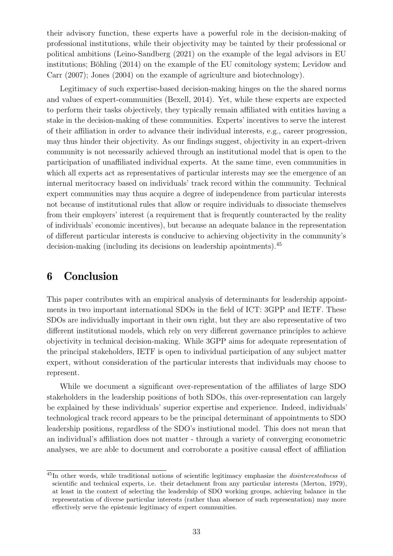their advisory function, these experts have a powerful role in the decision-making of professional institutions, while their objectivity may be tainted by their professional or political ambitions [\(Leino-Sandberg](#page-38-14) [\(2021\)](#page-38-14) on the example of the legal advisors in EU institutions; Böhling  $(2014)$  on the example of the EU comitology system; [Levidow and](#page-38-15) [Carr](#page-38-15) [\(2007\)](#page-38-15); [Jones](#page-37-15) [\(2004\)](#page-37-15) on the example of agriculture and biotechnology).

Legitimacy of such expertise-based decision-making hinges on the the shared norms and values of expert-communities [\(Bexell,](#page-36-17) [2014\)](#page-36-17). Yet, while these experts are expected to perform their tasks objectively, they typically remain affiliated with entities having a stake in the decision-making of these communities. Experts' incentives to serve the interest of their affiliation in order to advance their individual interests, e.g., career progression, may thus hinder their objectivity. As our findings suggest, objectivity in an expert-driven community is not necessarily achieved through an institutional model that is open to the participation of unaffiliated individual experts. At the same time, even communities in which all experts act as representatives of particular interests may see the emergence of an internal meritocracy based on individuals' track record within the community. Technical expert communities may thus acquire a degree of independence from particular interests not because of institutional rules that allow or require individuals to dissociate themselves from their employers' interest (a requirement that is frequently counteracted by the reality of individuals' economic incentives), but because an adequate balance in the representation of different particular interests is conducive to achieving objectivity in the community's decision-making (including its decisions on leadership apointments).[45](#page-0-0)

# 6 Conclusion

This paper contributes with an empirical analysis of determinants for leadership appointments in two important international SDOs in the field of ICT: 3GPP and IETF. These SDOs are individually important in their own right, but they are also representative of two different institutional models, which rely on very different governance principles to achieve objectivity in technical decision-making. While 3GPP aims for adequate representation of the principal stakeholders, IETF is open to individual participation of any subject matter expert, without consideration of the particular interests that individuals may choose to represent.

While we document a significant over-representation of the affiliates of large SDO stakeholders in the leadership positions of both SDOs, this over-representation can largely be explained by these individuals' superior expertise and experience. Indeed, individuals' technological track record appears to be the principal determinant of appointments to SDO leadership positions, regardless of the SDO's instiutional model. This does not mean that an individual's affiliation does not matter - through a variety of converging econometric analyses, we are able to document and corroborate a positive causal effect of affiliation

<sup>&</sup>lt;sup>45</sup>In other words, while traditional notions of scientific legitimacy emphasize the *disinterestedness* of scientific and technical experts, i.e. their detachment from any particular interests [\(Merton,](#page-38-16) [1979\)](#page-38-16), at least in the context of selecting the leadership of SDO working groups, achieving balance in the representation of diverse particular interests (rather than absence of such representation) may more effectively serve the epistemic legitimacy of expert communities.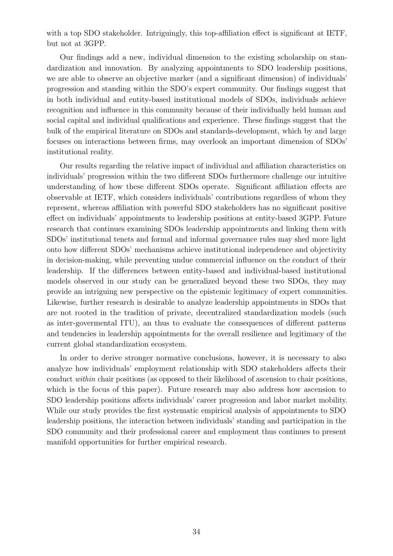with a top SDO stakeholder. Intriguingly, this top-affiliation effect is significant at IETF. but not at 3GPP.

Our findings add a new, individual dimension to the existing scholarship on standardization and innovation. By analyzing appointments to SDO leadership positions, we are able to observe an objective marker (and a significant dimension) of individuals' progression and standing within the SDO's expert community. Our findings suggest that in both individual and entity-based institutional models of SDOs, individuals achieve recognition and influence in this community because of their individually held human and social capital and individual qualifications and experience. These findings suggest that the bulk of the empirical literature on SDOs and standards-development, which by and large focuses on interactions between firms, may overlook an important dimension of SDOs' institutional reality.

Our results regarding the relative impact of individual and affiliation characteristics on individuals' progression within the two different SDOs furthermore challenge our intuitive understanding of how these different SDOs operate. Significant affiliation effects are observable at IETF, which considers individuals' contributions regardless of whom they represent, whereas affiliation with powerful SDO stakeholders has no significant positive effect on individuals' appointments to leadership positions at entity-based 3GPP. Future research that continues examining SDOs leadership appointments and linking them with SDOs' institutional tenets and formal and informal governance rules may shed more light onto how different SDOs' mechanisms achieve institutional independence and objectivity in decision-making, while preventing undue commercial influence on the conduct of their leadership. If the differences between entity-based and individual-based institutional models observed in our study can be generalized beyond these two SDOs, they may provide an intriguing new perspective on the epistemic legitimacy of expert communities. Likewise, further research is desirable to analyze leadership appointments in SDOs that are not rooted in the tradition of private, decentralized standardization models (such as inter-govermental ITU), an thus to evaluate the consequences of different patterns and tendencies in leadership appointments for the overall resilience and legitimacy of the current global standardization ecosystem.

In order to derive stronger normative conclusions, however, it is necessary to also analyze how individuals' employment relationship with SDO stakeholders affects their conduct within chair positions (as opposed to their likelihood of ascension to chair positions, which is the focus of this paper). Future research may also address how ascension to SDO leadership positions affects individuals' career progression and labor market mobility. While our study provides the first systematic empirical analysis of appointments to SDO leadership positions, the interaction between individuals' standing and participation in the SDO community and their professional career and employment thus continues to present manifold opportunities for further empirical research.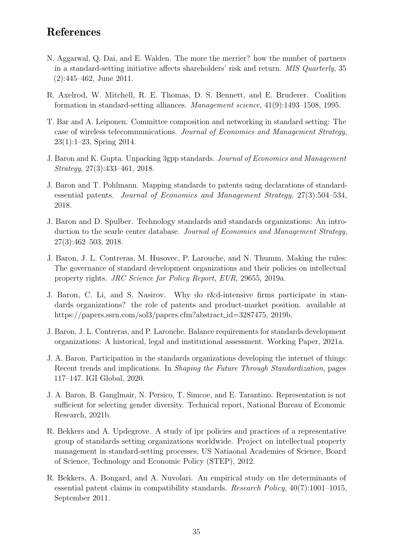# References

- <span id="page-35-3"></span>N. Aggarwal, Q. Dai, and E. Walden. The more the merrier? how the number of partners in a standard-setting initiative affects shareholders' risk and return. MIS Quarterly, 35 (2):445–462, June 2011.
- <span id="page-35-0"></span>R. Axelrod, W. Mitchell, R. E. Thomas, D. S. Bennett, and E. Bruderer. Coalition formation in standard-setting alliances. Management science, 41(9):1493–1508, 1995.
- <span id="page-35-4"></span>T. Bar and A. Leiponen. Committee composition and networking in standard setting: The case of wireless telecommunications. Journal of Economics and Management Strategy, 23(1):1–23, Spring 2014.
- <span id="page-35-8"></span>J. Baron and K. Gupta. Unpacking 3gpp standards. Journal of Economics and Management Strategy, 27(3):433–461, 2018.
- <span id="page-35-11"></span>J. Baron and T. Pohlmann. Mapping standards to patents using declarations of standardessential patents. Journal of Economics and Management Strategy, 27(3):504–534, 2018.
- <span id="page-35-12"></span>J. Baron and D. Spulber. Technology standards and standards organizations: An introduction to the searle center database. Journal of Economics and Management Strategy, 27(3):462–503, 2018.
- <span id="page-35-6"></span>J. Baron, J. L. Contreras, M. Husovec, P. Larouche, and N. Thumm. Making the rules: The governance of standard development organizations and their policies on intellectual property rights. JRC Science for Policy Report, EUR, 29655, 2019a.
- <span id="page-35-2"></span>J. Baron, C. Li, and S. Nasirov. Why do r&d-intensive firms participate in standards organizations? the role of patents and product-market position. available at https://papers.ssrn.com/sol3/papers.cfm?abstract\_id=3287475, 2019b.
- <span id="page-35-9"></span>J. Baron, J. L. Contreras, and P. Larouche. Balance requirements for standards development organizations: A historical, legal and institutional assessment. Working Paper, 2021a.
- <span id="page-35-10"></span>J. A. Baron. Participation in the standards organizations developing the internet of things: Recent trends and implications. In Shaping the Future Through Standardization, pages 117–147. IGI Global, 2020.
- <span id="page-35-5"></span>J. A. Baron, B. Ganglmair, N. Persico, T. Simcoe, and E. Tarantino. Representation is not sufficient for selecting gender diversity. Technical report, National Bureau of Economic Research, 2021b.
- <span id="page-35-7"></span>R. Bekkers and A. Updegrove. A study of ipr policies and practices of a representative group of standards setting organizations worldwide. Project on intellectual property management in standard-setting processes, US Natiaonal Academies of Science, Board of Science, Technology and Economic Policy (STEP), 2012.
- <span id="page-35-1"></span>R. Bekkers, A. Bongard, and A. Nuvolari. An empirical study on the determinants of essential patent claims in compatibility standards. Research Policy, 40(7):1001–1015, September 2011.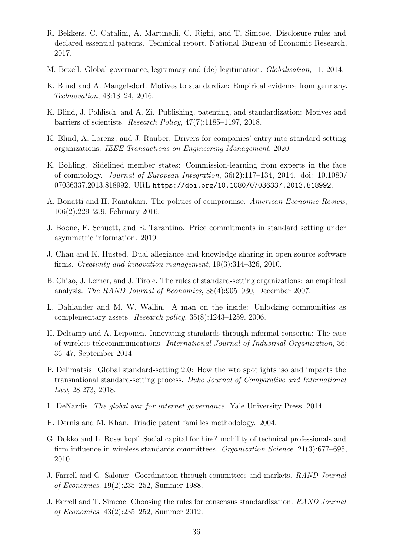- <span id="page-36-14"></span>R. Bekkers, C. Catalini, A. Martinelli, C. Righi, and T. Simcoe. Disclosure rules and declared essential patents. Technical report, National Bureau of Economic Research, 2017.
- <span id="page-36-17"></span>M. Bexell. Global governance, legitimacy and (de) legitimation. Globalisation, 11, 2014.
- <span id="page-36-5"></span>K. Blind and A. Mangelsdorf. Motives to standardize: Empirical evidence from germany. Technovation, 48:13–24, 2016.
- <span id="page-36-8"></span>K. Blind, J. Pohlisch, and A. Zi. Publishing, patenting, and standardization: Motives and barriers of scientists. Research Policy, 47(7):1185–1197, 2018.
- <span id="page-36-6"></span>K. Blind, A. Lorenz, and J. Rauber. Drivers for companies' entry into standard-setting organizations. IEEE Transactions on Engineering Management, 2020.
- <span id="page-36-16"></span>K. Böhling. Sidelined member states: Commission-learning from experts in the face of comitology. Journal of European Integration, 36(2):117–134, 2014. doi: 10.1080/ 07036337.2013.818992. URL <https://doi.org/10.1080/07036337.2013.818992>.
- <span id="page-36-2"></span>A. Bonatti and H. Rantakari. The politics of compromise. American Economic Review, 106(2):229–259, February 2016.
- <span id="page-36-4"></span>J. Boone, F. Schuett, and E. Tarantino. Price commitments in standard setting under asymmetric information. 2019.
- <span id="page-36-11"></span>J. Chan and K. Husted. Dual allegiance and knowledge sharing in open source software firms. Creativity and innovation management, 19(3):314–326, 2010.
- <span id="page-36-3"></span>B. Chiao, J. Lerner, and J. Tirole. The rules of standard-setting organizations: an empirical analysis. The RAND Journal of Economics, 38(4):905–930, December 2007.
- <span id="page-36-10"></span>L. Dahlander and M. W. Wallin. A man on the inside: Unlocking communities as complementary assets. Research policy,  $35(8):1243-1259$ , 2006.
- <span id="page-36-7"></span>H. Delcamp and A. Leiponen. Innovating standards through informal consortia: The case of wireless telecommunications. International Journal of Industrial Organization, 36: 36–47, September 2014.
- <span id="page-36-13"></span>P. Delimatsis. Global standard-setting 2.0: How the wto spotlights iso and impacts the transnational standard-setting process. Duke Journal of Comparative and International Law, 28:273, 2018.
- <span id="page-36-12"></span>L. DeNardis. The global war for internet governance. Yale University Press, 2014.
- <span id="page-36-15"></span>H. Dernis and M. Khan. Triadic patent families methodology. 2004.
- <span id="page-36-9"></span>G. Dokko and L. Rosenkopf. Social capital for hire? mobility of technical professionals and firm influence in wireless standards committees. Organization Science, 21(3):677–695, 2010.
- <span id="page-36-0"></span>J. Farrell and G. Saloner. Coordination through committees and markets. RAND Journal of Economics, 19(2):235–252, Summer 1988.
- <span id="page-36-1"></span>J. Farrell and T. Simcoe. Choosing the rules for consensus standardization. RAND Journal of Economics, 43(2):235–252, Summer 2012.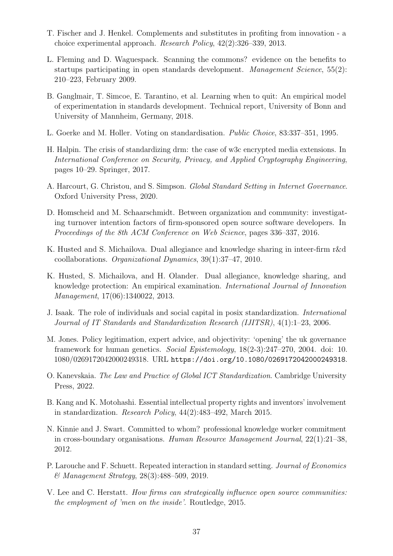- <span id="page-37-2"></span>T. Fischer and J. Henkel. Complements and substitutes in profiting from innovation - a choice experimental approach. Research Policy, 42(2):326–339, 2013.
- <span id="page-37-1"></span>L. Fleming and D. Waguespack. Scanning the commons? evidence on the benefits to startups participating in open standards development. Management Science, 55(2): 210–223, February 2009.
- <span id="page-37-4"></span>B. Ganglmair, T. Simcoe, E. Tarantino, et al. Learning when to quit: An empirical model of experimentation in standards development. Technical report, University of Bonn and University of Mannheim, Germany, 2018.
- <span id="page-37-0"></span>L. Goerke and M. Holler. Voting on standardisation. Public Choice, 83:337–351, 1995.
- <span id="page-37-12"></span>H. Halpin. The crisis of standardizing drm: the case of w3c encrypted media extensions. In International Conference on Security, Privacy, and Applied Cryptography Engineering, pages 10–29. Springer, 2017.
- <span id="page-37-10"></span>A. Harcourt, G. Christou, and S. Simpson. Global Standard Setting in Internet Governance. Oxford University Press, 2020.
- <span id="page-37-14"></span>D. Homscheid and M. Schaarschmidt. Between organization and community: investigating turnover intention factors of firm-sponsored open source software developers. In Proceedings of the 8th ACM Conference on Web Science, pages 336–337, 2016.
- <span id="page-37-7"></span>K. Husted and S. Michailova. Dual allegiance and knowledge sharing in inteer-firm r&d coollaborations. Organizational Dynamics, 39(1):37–47, 2010.
- <span id="page-37-8"></span>K. Husted, S. Michailova, and H. Olander. Dual allegiance, knowledge sharing, and knowledge protection: An empirical examination. International Journal of Innovation Management, 17(06):1340022, 2013.
- <span id="page-37-6"></span>J. Isaak. The role of individuals and social capital in posix standardization. International Journal of IT Standards and Standardization Research (IJITSR), 4(1):1–23, 2006.
- <span id="page-37-15"></span>M. Jones. Policy legitimation, expert advice, and objectivity: 'opening' the uk governance framework for human genetics. Social Epistemology, 18(2-3):247–270, 2004. doi: 10. 1080/0269172042000249318. URL <https://doi.org/10.1080/0269172042000249318>.
- <span id="page-37-11"></span>O. Kanevskaia. The Law and Practice of Global ICT Standardization. Cambridge University Press, 2022.
- <span id="page-37-5"></span>B. Kang and K. Motohashi. Essential intellectual property rights and inventors' involvement in standardization. Research Policy, 44(2):483–492, March 2015.
- <span id="page-37-13"></span>N. Kinnie and J. Swart. Committed to whom? professional knowledge worker commitment in cross-boundary organisations. Human Resource Management Journal, 22(1):21–38, 2012.
- <span id="page-37-3"></span>P. Larouche and F. Schuett. Repeated interaction in standard setting. Journal of Economics & Management Strategy, 28(3):488–509, 2019.
- <span id="page-37-9"></span>V. Lee and C. Herstatt. How firms can strategically influence open source communities: the employment of 'men on the inside'. Routledge, 2015.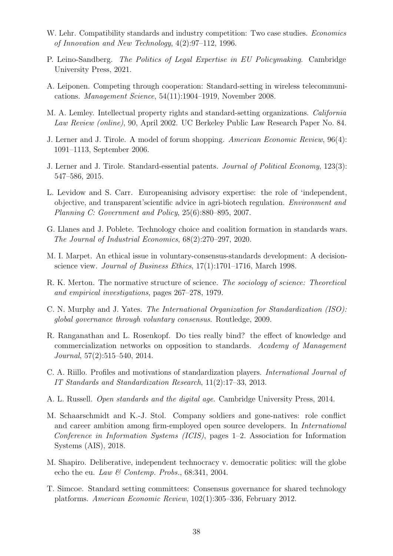- <span id="page-38-2"></span>W. Lehr. Compatibility standards and industry competition: Two case studies. *Economics* of Innovation and New Technology, 4(2):97–112, 1996.
- <span id="page-38-14"></span>P. Leino-Sandberg. The Politics of Legal Expertise in EU Policymaking. Cambridge University Press, 2021.
- <span id="page-38-6"></span>A. Leiponen. Competing through cooperation: Standard-setting in wireless telecommunications. Management Science, 54(11):1904–1919, November 2008.
- <span id="page-38-12"></span>M. A. Lemley. Intellectual property rights and standard-setting organizations. California Law Review (online), 90, April 2002. UC Berkeley Public Law Research Paper No. 84.
- <span id="page-38-3"></span>J. Lerner and J. Tirole. A model of forum shopping. American Economic Review, 96(4): 1091–1113, September 2006.
- <span id="page-38-4"></span>J. Lerner and J. Tirole. Standard-essential patents. Journal of Political Economy, 123(3): 547–586, 2015.
- <span id="page-38-15"></span>L. Levidow and S. Carr. Europeanising advisory expertise: the role of 'independent, objective, and transparent'scientific advice in agri-biotech regulation. Environment and Planning C: Government and Policy, 25(6):880–895, 2007.
- <span id="page-38-1"></span>G. Llanes and J. Poblete. Technology choice and coalition formation in standards wars. The Journal of Industrial Economics, 68(2):270–297, 2020.
- <span id="page-38-9"></span>M. I. Marpet. An ethical issue in voluntary-consensus-standards development: A decisionscience view. *Journal of Business Ethics*,  $17(1)$ :1701–1716, March 1998.
- <span id="page-38-16"></span>R. K. Merton. The normative structure of science. The sociology of science: Theoretical and empirical investigations, pages 267–278, 1979.
- <span id="page-38-10"></span>C. N. Murphy and J. Yates. The International Organization for Standardization (ISO): global governance through voluntary consensus. Routledge, 2009.
- <span id="page-38-7"></span>R. Ranganathan and L. Rosenkopf. Do ties really bind? the effect of knowledge and commercialization networks on opposition to standards. Academy of Management Journal, 57(2):515–540, 2014.
- <span id="page-38-5"></span>C. A. Riillo. Profiles and motivations of standardization players. International Journal of IT Standards and Standardization Research, 11(2):17–33, 2013.
- <span id="page-38-8"></span>A. L. Russell. Open standards and the digital age. Cambridge University Press, 2014.
- <span id="page-38-11"></span>M. Schaarschmidt and K.-J. Stol. Company soldiers and gone-natives: role conflict and career ambition among firm-employed open source developers. In International Conference in Information Systems (ICIS), pages 1–2. Association for Information Systems (AIS), 2018.
- <span id="page-38-13"></span>M. Shapiro. Deliberative, independent technocracy v. democratic politics: will the globe echo the eu. Law & Contemp. Probs., 68:341, 2004.
- <span id="page-38-0"></span>T. Simcoe. Standard setting committees: Consensus governance for shared technology platforms. American Economic Review, 102(1):305–336, February 2012.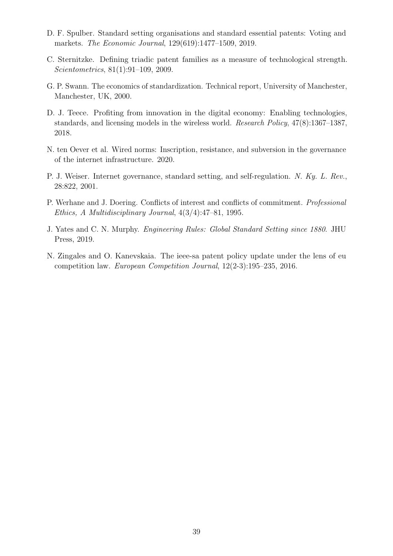- <span id="page-39-2"></span>D. F. Spulber. Standard setting organisations and standard essential patents: Voting and markets. The Economic Journal, 129(619):1477–1509, 2019.
- <span id="page-39-8"></span>C. Sternitzke. Defining triadic patent families as a measure of technological strength. Scientometrics, 81(1):91–109, 2009.
- <span id="page-39-0"></span>G. P. Swann. The economics of standardization. Technical report, University of Manchester, Manchester, UK, 2000.
- <span id="page-39-1"></span>D. J. Teece. Profiting from innovation in the digital economy: Enabling technologies, standards, and licensing models in the wireless world. Research Policy, 47(8):1367–1387, 2018.
- <span id="page-39-5"></span>N. ten Oever et al. Wired norms: Inscription, resistance, and subversion in the governance of the internet infrastructure. 2020.
- <span id="page-39-7"></span>P. J. Weiser. Internet governance, standard setting, and self-regulation. N. Ky. L. Rev., 28:822, 2001.
- <span id="page-39-4"></span>P. Werhane and J. Doering. Conflicts of interest and conflicts of commitment. Professional Ethics, A Multidisciplinary Journal, 4(3/4):47–81, 1995.
- <span id="page-39-3"></span>J. Yates and C. N. Murphy. Engineering Rules: Global Standard Setting since 1880. JHU Press, 2019.
- <span id="page-39-6"></span>N. Zingales and O. Kanevskaia. The ieee-sa patent policy update under the lens of eu competition law. European Competition Journal, 12(2-3):195–235, 2016.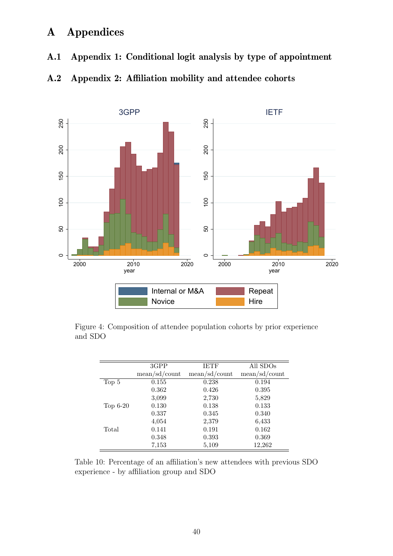# A Appendices

A.1 Appendix 1: Conditional logit analysis by type of appointment

<span id="page-40-0"></span>

<span id="page-40-1"></span>A.2 Appendix 2: Affiliation mobility and attendee cohorts

<span id="page-40-2"></span>Figure 4: Composition of attendee population cohorts by prior experience and SDO

|            | 3GPP          | <b>IETF</b>   | All SDOs      |
|------------|---------------|---------------|---------------|
|            | mean/sd/count | mean/sd/count | mean/sd/count |
| Top 5      | 0.155         | 0.238         | 0.194         |
|            | 0.362         | 0.426         | 0.395         |
|            | 3,099         | 2,730         | 5,829         |
| $Top 6-20$ | 0.130         | 0.138         | 0.133         |
|            | 0.337         | 0.345         | 0.340         |
|            | 4,054         | 2,379         | 6,433         |
| Total      | 0.141         | 0.191         | 0.162         |
|            | 0.348         | 0.393         | 0.369         |
|            | 7,153         | 5,109         | 12,262        |

Table 10: Percentage of an affiliation's new attendees with previous SDO experience - by affiliation group and SDO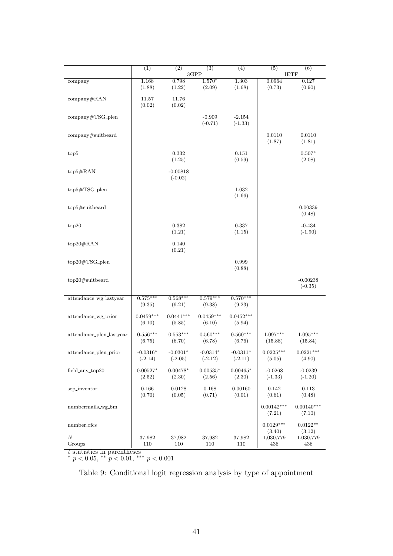<span id="page-41-0"></span>

|                               | (1)                     | (2)                     | (3)                     | (4)                     | (5)                    | (6)                     |
|-------------------------------|-------------------------|-------------------------|-------------------------|-------------------------|------------------------|-------------------------|
|                               |                         |                         | 3GPP                    |                         | <b>IETF</b>            |                         |
| company                       | 1.168<br>(1.88)         | 0.798<br>(1.22)         | $1.570*$<br>(2.09)      | 1.303<br>(1.68)         | 0.0964<br>(0.73)       | 0.127<br>(0.90)         |
| company#RAN                   | 11.57<br>(0.02)         | 11.76<br>(0.02)         |                         |                         |                        |                         |
| company#TSG_plen              |                         |                         | $-0.909$<br>$(-0.71)$   | $-2.154$<br>$(-1.33)$   |                        |                         |
| company#suitbeard             |                         |                         |                         |                         | 0.0110<br>(1.87)       | 0.0110<br>(1.81)        |
| top <sub>5</sub>              |                         | 0.332<br>(1.25)         |                         | 0.151<br>(0.59)         |                        | $0.507*$<br>(2.08)      |
| $top5\#RAN$                   |                         | $-0.00818$<br>$(-0.02)$ |                         |                         |                        |                         |
| $top5\#TSG$ -plen             |                         |                         |                         | 1.032<br>(1.66)         |                        |                         |
| top5#suitbeard                |                         |                         |                         |                         |                        | 0.00339<br>(0.48)       |
| top20                         |                         | 0.382<br>(1.21)         |                         | 0.337<br>(1.15)         |                        | $-0.434$<br>$(-1.90)$   |
| $top20\#RAN$                  |                         | 0.140<br>(0.21)         |                         |                         |                        |                         |
| $top20\#TSG$ <sub>-plen</sub> |                         |                         |                         | 0.999<br>(0.88)         |                        |                         |
| $top20\#suit$ suitbeard       |                         |                         |                         |                         |                        | $-0.00238$<br>$(-0.35)$ |
| attendance_wg_lastyear        | $0.575***$<br>(9.35)    | $0.568***$<br>(9.21)    | $0.579***$<br>(9.38)    | $0.570***$<br>(9.23)    |                        |                         |
| attendance_wg_prior           | $0.0459***$<br>(6.10)   | $0.0441***$<br>(5.85)   | $0.0459***$<br>(6.10)   | $0.0452***$<br>(5.94)   |                        |                         |
| attendance_plen_lastyear      | $0.556***$<br>(6.75)    | $0.553***$<br>(6.70)    | $0.560***$<br>(6.78)    | $0.560***$<br>(6.76)    | $1.097***$<br>(15.88)  | $1.095***$<br>(15.84)   |
| attendance_plen_prior         | $-0.0316*$<br>$(-2.14)$ | $-0.0301*$<br>$(-2.05)$ | $-0.0314*$<br>$(-2.12)$ | $-0.0311*$<br>$(-2.11)$ | $0.0225***$<br>(5.05)  | $0.0221***$<br>(4.90)   |
| field_any_top20               | $0.00527*$<br>(2.52)    | $0.00478*$<br>(2.30)    | $0.00535*$<br>(2.56)    | $0.00465*$<br>(2.30)    | $-0.0268$<br>$(-1.33)$ | $-0.0239$<br>$(-1.20)$  |
| sep_inventor                  | 0.166<br>(0.70)         | 0.0128<br>(0.05)        | 0.168<br>(0.71)         | 0.00160<br>(0.01)       | 0.142<br>(0.61)        | 0.113<br>(0.48)         |
| numbermails_wg_6m             |                         |                         |                         |                         | $0.00142***$<br>(7.21) | $0.00140***$<br>(7.10)  |
| number_rfcs                   |                         |                         |                         |                         | $0.0129***$<br>(3.40)  | $0.0122**$<br>(3.12)    |
| $\overline{N}$                | 37,982                  | 37,982                  | 37,982                  | 37,982                  | 1,030,779              | 1,030,779               |
| Groups                        | 110                     | 110                     | 110                     | 110                     | 436                    | 436                     |
| $t$ statistics in parentheses |                         |                         |                         |                         |                        |                         |

\*  $p < 0.05$ , \*\*  $p < 0.01$ , \*\*\*  $p < 0.001$ 

Table 9: Conditional logit regression analysis by type of appointment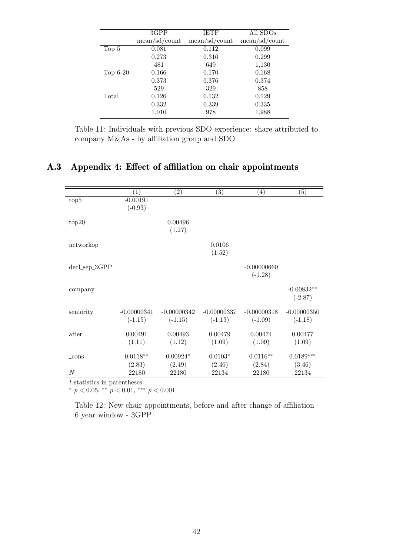|            | 3GPP          | <b>IETF</b>   | All SDO <sub>s</sub> |
|------------|---------------|---------------|----------------------|
|            | mean/sd/count | mean/sd/count | mean/sd/count        |
| Top 5      | 0.081         | 0.112         | 0.099                |
|            | 0.273         | 0.316         | 0.299                |
|            | 481           | 649           | 1,130                |
| $Top 6-20$ | 0.166         | 0.170         | 0.168                |
|            | 0.373         | 0.376         | 0.374                |
|            | 529           | 329           | 858                  |
| Total      | 0.126         | 0.132         | 0.129                |
|            | 0.332         | 0.339         | 0.335                |
|            | 1,010         | 978           | 1,988                |

Table 11: Individuals with previous SDO experience: share attributed to company M&As - by affiliation group and SDO

# <span id="page-42-1"></span><span id="page-42-0"></span>A.3 Appendix 4: Effect of affiliation on chair appointments

|                | $\left( 1\right)$ | $\left( 2\right)$ | $\left( 3\right)$ | $\left( 4\right)$ | $\left( 5\right)$ |
|----------------|-------------------|-------------------|-------------------|-------------------|-------------------|
| top5           | $-0.00191$        |                   |                   |                   |                   |
|                | $(-0.93)$         |                   |                   |                   |                   |
| top20          |                   | 0.00496           |                   |                   |                   |
|                |                   | (1.27)            |                   |                   |                   |
|                |                   |                   |                   |                   |                   |
| networkop      |                   |                   | 0.0106            |                   |                   |
|                |                   |                   | (1.52)            |                   |                   |
| $decLsep_3GPP$ |                   |                   |                   | $-0.00000660$     |                   |
|                |                   |                   |                   | $(-1.28)$         |                   |
|                |                   |                   |                   |                   | $-0.00832**$      |
| company        |                   |                   |                   |                   | $(-2.87)$         |
|                |                   |                   |                   |                   |                   |
| seniority      | $-0.00000341$     | $-0.00000342$     | $-0.00000337$     | $-0.00000318$     | $-0.00000350$     |
|                | $(-1.15)$         | $(-1.15)$         | $(-1.13)$         | $(-1.09)$         | $(-1.18)$         |
| after          | 0.00491           | 0.00493           | 0.00479           | 0.00474           | 0.00477           |
|                | (1.11)            | (1.12)            | (1.09)            | (1.09)            | (1.09)            |
|                |                   |                   |                   |                   |                   |
| $_{\rm cons}$  | $0.0118**$        | $0.00924*$        | $0.0103*$         | $0.0116**$        | $0.0189***$       |
|                | (2.83)            | (2.49)            | (2.46)            | (2.84)            | (3.46)            |
| N              | 22180             | 22180             | 22134             | 22180             | 22134             |

 $\boldsymbol{t}$  statistics in parentheses

\*  $p < 0.05$ , \*\*  $p < 0.01$ , \*\*\*  $p < 0.001$ 

Table 12: New chair appointments, before and after change of affiliation - 6 year window - 3GPP